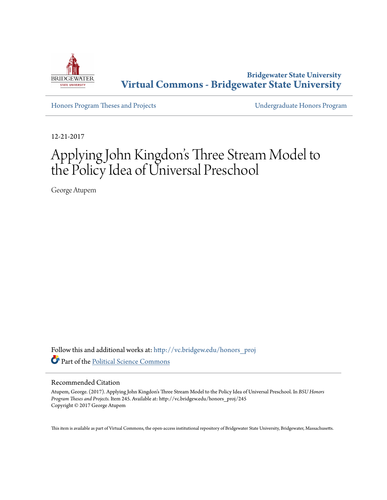

**Bridgewater State University [Virtual Commons - Bridgewater State University](http://vc.bridgew.edu?utm_source=vc.bridgew.edu%2Fhonors_proj%2F245&utm_medium=PDF&utm_campaign=PDFCoverPages)**

[Honors Program Theses and Projects](http://vc.bridgew.edu/honors_proj?utm_source=vc.bridgew.edu%2Fhonors_proj%2F245&utm_medium=PDF&utm_campaign=PDFCoverPages) [Undergraduate Honors Program](http://vc.bridgew.edu/honors?utm_source=vc.bridgew.edu%2Fhonors_proj%2F245&utm_medium=PDF&utm_campaign=PDFCoverPages)

12-21-2017

# Applying John Kingdon's Three Stream Model to the Policy Idea of Universal Preschool

George Atupem

Follow this and additional works at: [http://vc.bridgew.edu/honors\\_proj](http://vc.bridgew.edu/honors_proj?utm_source=vc.bridgew.edu%2Fhonors_proj%2F245&utm_medium=PDF&utm_campaign=PDFCoverPages) Part of the [Political Science Commons](http://network.bepress.com/hgg/discipline/386?utm_source=vc.bridgew.edu%2Fhonors_proj%2F245&utm_medium=PDF&utm_campaign=PDFCoverPages)

#### Recommended Citation

Atupem, George. (2017). Applying John Kingdon's Three Stream Model to the Policy Idea of Universal Preschool. In *BSU Honors Program Theses and Projects.* Item 245. Available at: http://vc.bridgew.edu/honors\_proj/245 Copyright © 2017 George Atupem

This item is available as part of Virtual Commons, the open-access institutional repository of Bridgewater State University, Bridgewater, Massachusetts.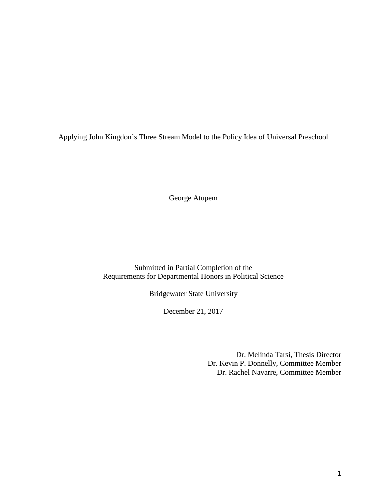Applying John Kingdon's Three Stream Model to the Policy Idea of Universal Preschool

George Atupem

Submitted in Partial Completion of the Requirements for Departmental Honors in Political Science

Bridgewater State University

December 21, 2017

Dr. Melinda Tarsi, Thesis Director Dr. Kevin P. Donnelly, Committee Member Dr. Rachel Navarre, Committee Member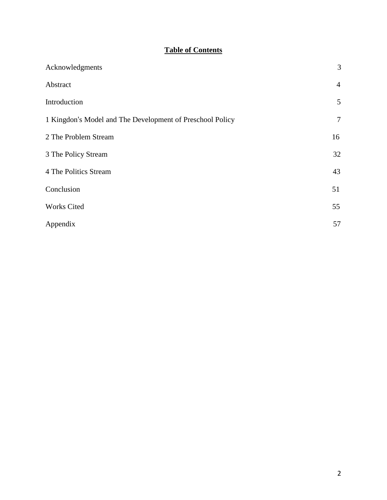# **Table of Contents**

| Acknowledgments                                           | 3              |
|-----------------------------------------------------------|----------------|
| Abstract                                                  | $\overline{4}$ |
| Introduction                                              | 5              |
| 1 Kingdon's Model and The Development of Preschool Policy | $\tau$         |
| 2 The Problem Stream                                      | 16             |
| 3 The Policy Stream                                       | 32             |
| 4 The Politics Stream                                     | 43             |
| Conclusion                                                | 51             |
| <b>Works Cited</b>                                        | 55             |
| Appendix                                                  | 57             |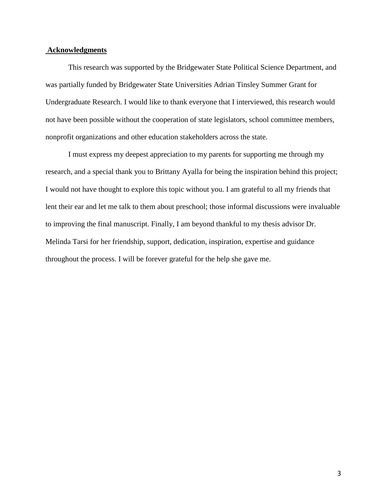## **Acknowledgments**

This research was supported by the Bridgewater State Political Science Department, and was partially funded by Bridgewater State Universities Adrian Tinsley Summer Grant for Undergraduate Research. I would like to thank everyone that I interviewed, this research would not have been possible without the cooperation of state legislators, school committee members, nonprofit organizations and other education stakeholders across the state.

I must express my deepest appreciation to my parents for supporting me through my research, and a special thank you to Brittany Ayalla for being the inspiration behind this project; I would not have thought to explore this topic without you. I am grateful to all my friends that lent their ear and let me talk to them about preschool; those informal discussions were invaluable to improving the final manuscript. Finally, I am beyond thankful to my thesis advisor Dr. Melinda Tarsi for her friendship, support, dedication, inspiration, expertise and guidance throughout the process. I will be forever grateful for the help she gave me.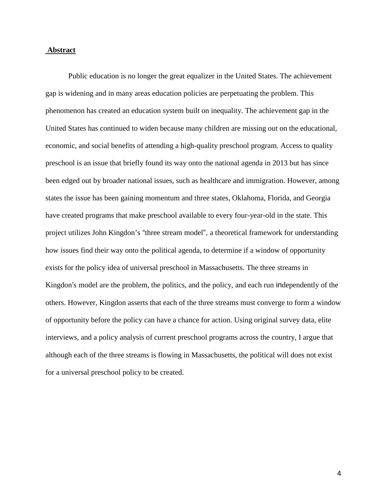## **Abstract**

Public education is no longer the great equalizer in the United States. The achievement gap is widening and in many areas education policies are perpetuating the problem. This phenomenon has created an education system built on inequality. The achievement gap in the United States has continued to widen because many children are missing out on the educational, economic, and social benefits of attending a high-quality preschool program. Access to quality preschool is an issue that briefly found its way onto the national agenda in 2013 but has since been edged out by broader national issues, such as healthcare and immigration. However, among states the issue has been gaining momentum and three states, Oklahoma, Florida, and Georgia have created programs that make preschool available to every four-year-old in the state. This project utilizes John Kingdon's "three stream model", a theoretical framework for understanding how issues find their way onto the political agenda, to determine if a window of opportunity exists for the policy idea of universal preschool in Massachusetts. The three streams in Kingdon's model are the problem, the politics, and the policy, and each run independently of the others. However, Kingdon asserts that each of the three streams must converge to form a window of opportunity before the policy can have a chance for action. Using original survey data, elite interviews, and a policy analysis of current preschool programs across the country, I argue that although each of the three streams is flowing in Massachusetts, the political will does not exist for a universal preschool policy to be created.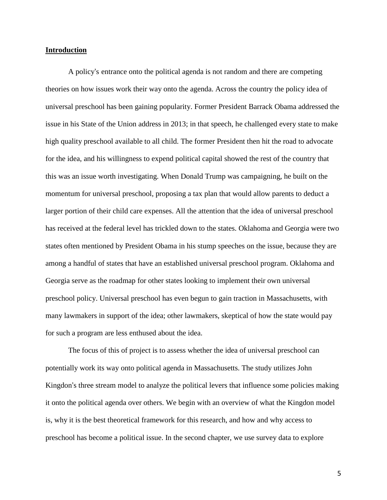#### **Introduction**

A policy's entrance onto the political agenda is not random and there are competing theories on how issues work their way onto the agenda. Across the country the policy idea of universal preschool has been gaining popularity. Former President Barrack Obama addressed the issue in his State of the Union address in 2013; in that speech, he challenged every state to make high quality preschool available to all child. The former President then hit the road to advocate for the idea, and his willingness to expend political capital showed the rest of the country that this was an issue worth investigating. When Donald Trump was campaigning, he built on the momentum for universal preschool, proposing a tax plan that would allow parents to deduct a larger portion of their child care expenses. All the attention that the idea of universal preschool has received at the federal level has trickled down to the states. Oklahoma and Georgia were two states often mentioned by President Obama in his stump speeches on the issue, because they are among a handful of states that have an established universal preschool program. Oklahoma and Georgia serve as the roadmap for other states looking to implement their own universal preschool policy. Universal preschool has even begun to gain traction in Massachusetts, with many lawmakers in support of the idea; other lawmakers, skeptical of how the state would pay for such a program are less enthused about the idea.

The focus of this of project is to assess whether the idea of universal preschool can potentially work its way onto political agenda in Massachusetts. The study utilizes John Kingdon's three stream model to analyze the political levers that influence some policies making it onto the political agenda over others. We begin with an overview of what the Kingdon model is, why it is the best theoretical framework for this research, and how and why access to preschool has become a political issue. In the second chapter, we use survey data to explore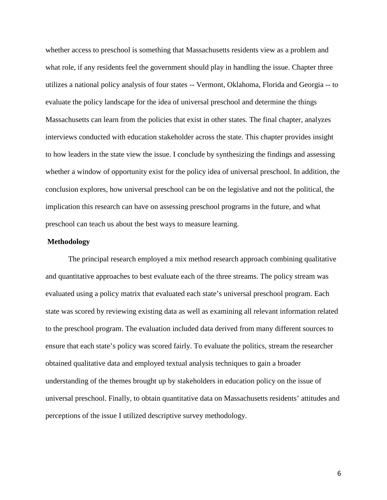whether access to preschool is something that Massachusetts residents view as a problem and what role, if any residents feel the government should play in handling the issue. Chapter three utilizes a national policy analysis of four states -- Vermont, Oklahoma, Florida and Georgia -- to evaluate the policy landscape for the idea of universal preschool and determine the things Massachusetts can learn from the policies that exist in other states. The final chapter, analyzes interviews conducted with education stakeholder across the state. This chapter provides insight to how leaders in the state view the issue. I conclude by synthesizing the findings and assessing whether a window of opportunity exist for the policy idea of universal preschool. In addition, the conclusion explores, how universal preschool can be on the legislative and not the political, the implication this research can have on assessing preschool programs in the future, and what preschool can teach us about the best ways to measure learning.

#### **Methodology**

The principal research employed a mix method research approach combining qualitative and quantitative approaches to best evaluate each of the three streams. The policy stream was evaluated using a policy matrix that evaluated each state's universal preschool program. Each state was scored by reviewing existing data as well as examining all relevant information related to the preschool program. The evaluation included data derived from many different sources to ensure that each state's policy was scored fairly. To evaluate the politics, stream the researcher obtained qualitative data and employed textual analysis techniques to gain a broader understanding of the themes brought up by stakeholders in education policy on the issue of universal preschool. Finally, to obtain quantitative data on Massachusetts residents' attitudes and perceptions of the issue I utilized descriptive survey methodology.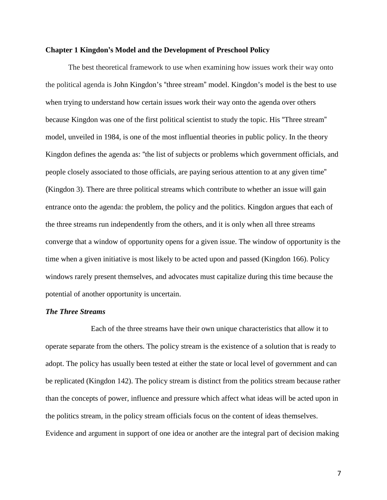#### **Chapter 1 Kingdon's Model and the Development of Preschool Policy**

The best theoretical framework to use when examining how issues work their way onto the political agenda is John Kingdon's "three stream" model. Kingdon's model is the best to use when trying to understand how certain issues work their way onto the agenda over others because Kingdon was one of the first political scientist to study the topic. His "Three stream" model, unveiled in 1984, is one of the most influential theories in public policy. In the theory Kingdon defines the agenda as: "the list of subjects or problems which government officials, and people closely associated to those officials, are paying serious attention to at any given time" (Kingdon 3). There are three political streams which contribute to whether an issue will gain entrance onto the agenda: the problem, the policy and the politics. Kingdon argues that each of the three streams run independently from the others, and it is only when all three streams converge that a window of opportunity opens for a given issue. The window of opportunity is the time when a given initiative is most likely to be acted upon and passed (Kingdon 166). Policy windows rarely present themselves, and advocates must capitalize during this time because the potential of another opportunity is uncertain.

#### *The Three Streams*

Each of the three streams have their own unique characteristics that allow it to operate separate from the others. The policy stream is the existence of a solution that is ready to adopt. The policy has usually been tested at either the state or local level of government and can be replicated (Kingdon 142). The policy stream is distinct from the politics stream because rather than the concepts of power, influence and pressure which affect what ideas will be acted upon in the politics stream, in the policy stream officials focus on the content of ideas themselves. Evidence and argument in support of one idea or another are the integral part of decision making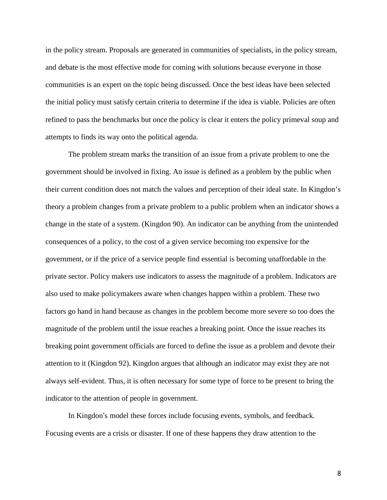in the policy stream. Proposals are generated in communities of specialists, in the policy stream, and debate is the most effective mode for coming with solutions because everyone in those communities is an expert on the topic being discussed. Once the best ideas have been selected the initial policy must satisfy certain criteria to determine if the idea is viable. Policies are often refined to pass the benchmarks but once the policy is clear it enters the policy primeval soup and attempts to finds its way onto the political agenda.

The problem stream marks the transition of an issue from a private problem to one the government should be involved in fixing. An issue is defined as a problem by the public when their current condition does not match the values and perception of their ideal state. In Kingdon's theory a problem changes from a private problem to a public problem when an indicator shows a change in the state of a system. (Kingdon 90). An indicator can be anything from the unintended consequences of a policy, to the cost of a given service becoming too expensive for the government, or if the price of a service people find essential is becoming unaffordable in the private sector. Policy makers use indicators to assess the magnitude of a problem. Indicators are also used to make policymakers aware when changes happen within a problem. These two factors go hand in hand because as changes in the problem become more severe so too does the magnitude of the problem until the issue reaches a breaking point. Once the issue reaches its breaking point government officials are forced to define the issue as a problem and devote their attention to it (Kingdon 92). Kingdon argues that although an indicator may exist they are not always self-evident. Thus, it is often necessary for some type of force to be present to bring the indicator to the attention of people in government.

In Kingdon's model these forces include focusing events, symbols, and feedback. Focusing events are a crisis or disaster. If one of these happens they draw attention to the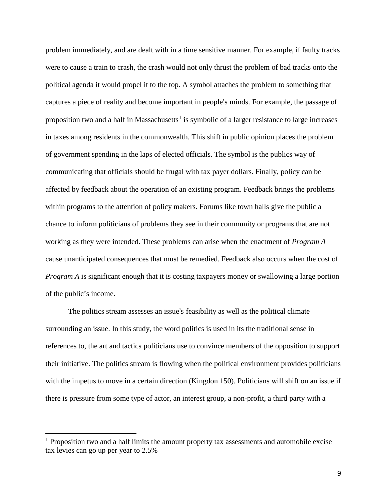problem immediately, and are dealt with in a time sensitive manner. For example, if faulty tracks were to cause a train to crash, the crash would not only thrust the problem of bad tracks onto the political agenda it would propel it to the top. A symbol attaches the problem to something that captures a piece of reality and become important in people's minds. For example, the passage of proposition two and a half in Massachusetts<sup>[1](#page-9-0)</sup> is symbolic of a larger resistance to large increases in taxes among residents in the commonwealth. This shift in public opinion places the problem of government spending in the laps of elected officials. The symbol is the publics way of communicating that officials should be frugal with tax payer dollars. Finally, policy can be affected by feedback about the operation of an existing program. Feedback brings the problems within programs to the attention of policy makers. Forums like town halls give the public a chance to inform politicians of problems they see in their community or programs that are not working as they were intended. These problems can arise when the enactment of *Program A* cause unanticipated consequences that must be remedied. Feedback also occurs when the cost of *Program A* is significant enough that it is costing taxpayers money or swallowing a large portion of the public's income.

The politics stream assesses an issue's feasibility as well as the political climate surrounding an issue. In this study, the word politics is used in its the traditional sense in references to, the art and tactics politicians use to convince members of the opposition to support their initiative. The politics stream is flowing when the political environment provides politicians with the impetus to move in a certain direction (Kingdon 150). Politicians will shift on an issue if there is pressure from some type of actor, an interest group, a non-profit, a third party with a

 $\overline{a}$ 

<span id="page-9-0"></span> $<sup>1</sup>$  Proposition two and a half limits the amount property tax assessments and automobile excise</sup> tax levies can go up per year to 2.5%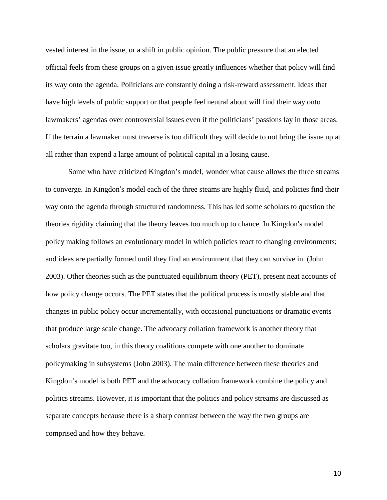vested interest in the issue, or a shift in public opinion. The public pressure that an elected official feels from these groups on a given issue greatly influences whether that policy will find its way onto the agenda. Politicians are constantly doing a risk-reward assessment. Ideas that have high levels of public support or that people feel neutral about will find their way onto lawmakers' agendas over controversial issues even if the politicians' passions lay in those areas. If the terrain a lawmaker must traverse is too difficult they will decide to not bring the issue up at all rather than expend a large amount of political capital in a losing cause.

Some who have criticized Kingdon's model, wonder what cause allows the three streams to converge. In Kingdon's model each of the three steams are highly fluid, and policies find their way onto the agenda through structured randomness. This has led some scholars to question the theories rigidity claiming that the theory leaves too much up to chance. In Kingdon's model policy making follows an evolutionary model in which policies react to changing environments; and ideas are partially formed until they find an environment that they can survive in. (John 2003). Other theories such as the punctuated equilibrium theory (PET), present neat accounts of how policy change occurs. The PET states that the political process is mostly stable and that changes in public policy occur incrementally, with occasional punctuations or dramatic events that produce large scale change. The advocacy collation framework is another theory that scholars gravitate too, in this theory coalitions compete with one another to dominate policymaking in subsystems (John 2003). The main difference between these theories and Kingdon's model is both PET and the advocacy collation framework combine the policy and politics streams. However, it is important that the politics and policy streams are discussed as separate concepts because there is a sharp contrast between the way the two groups are comprised and how they behave.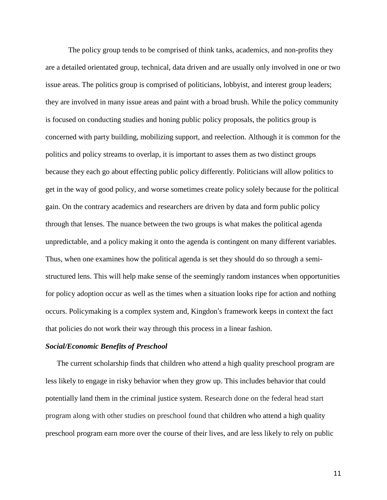The policy group tends to be comprised of think tanks, academics, and non-profits they are a detailed orientated group, technical, data driven and are usually only involved in one or two issue areas. The politics group is comprised of politicians, lobbyist, and interest group leaders; they are involved in many issue areas and paint with a broad brush. While the policy community is focused on conducting studies and honing public policy proposals, the politics group is concerned with party building, mobilizing support, and reelection. Although it is common for the politics and policy streams to overlap, it is important to asses them as two distinct groups because they each go about effecting public policy differently. Politicians will allow politics to get in the way of good policy, and worse sometimes create policy solely because for the political gain. On the contrary academics and researchers are driven by data and form public policy through that lenses. The nuance between the two groups is what makes the political agenda unpredictable, and a policy making it onto the agenda is contingent on many different variables. Thus, when one examines how the political agenda is set they should do so through a semistructured lens. This will help make sense of the seemingly random instances when opportunities for policy adoption occur as well as the times when a situation looks ripe for action and nothing occurs. Policymaking is a complex system and, Kingdon's framework keeps in context the fact that policies do not work their way through this process in a linear fashion.

#### *Social/Economic Benefits of Preschool*

The current scholarship finds that children who attend a high quality preschool program are less likely to engage in risky behavior when they grow up. This includes behavior that could potentially land them in the criminal justice system. Research done on the federal head start program along with other studies on preschool found that children who attend a high quality preschool program earn more over the course of their lives, and are less likely to rely on public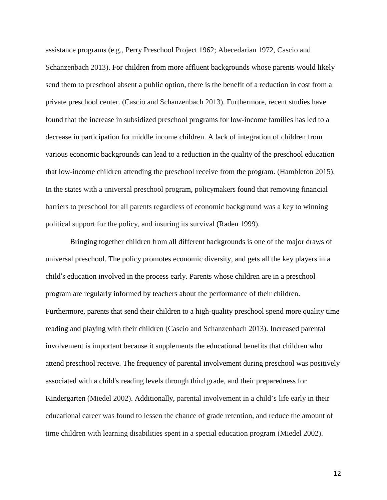assistance programs (e.g., Perry Preschool Project 1962; Abecedarian 1972, Cascio and Schanzenbach 2013). For children from more affluent backgrounds whose parents would likely send them to preschool absent a public option, there is the benefit of a reduction in cost from a private preschool center. (Cascio and Schanzenbach 2013). Furthermore, recent studies have found that the increase in subsidized preschool programs for low-income families has led to a decrease in participation for middle income children. A lack of integration of children from various economic backgrounds can lead to a reduction in the quality of the preschool education that low-income children attending the preschool receive from the program. (Hambleton 2015). In the states with a universal preschool program, policymakers found that removing financial barriers to preschool for all parents regardless of economic background was a key to winning political support for the policy, and insuring its survival (Raden 1999).

Bringing together children from all different backgrounds is one of the major draws of universal preschool. The policy promotes economic diversity, and gets all the key players in a child's education involved in the process early. Parents whose children are in a preschool program are regularly informed by teachers about the performance of their children. Furthermore, parents that send their children to a high-quality preschool spend more quality time reading and playing with their children (Cascio and Schanzenbach 2013). Increased parental involvement is important because it supplements the educational benefits that children who attend preschool receive. The frequency of parental involvement during preschool was positively associated with a child's reading levels through third grade, and their preparedness for Kindergarten (Miedel 2002). Additionally, parental involvement in a child's life early in their educational career was found to lessen the chance of grade retention, and reduce the amount of time children with learning disabilities spent in a special education program (Miedel 2002).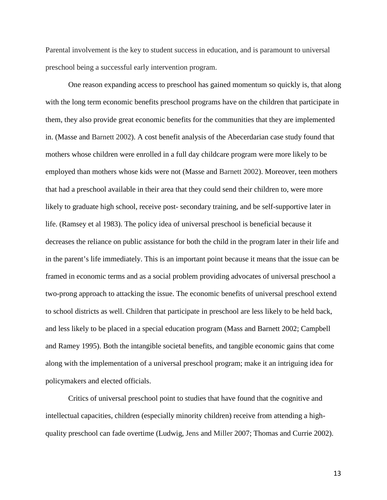Parental involvement is the key to student success in education, and is paramount to universal preschool being a successful early intervention program.

One reason expanding access to preschool has gained momentum so quickly is, that along with the long term economic benefits preschool programs have on the children that participate in them, they also provide great economic benefits for the communities that they are implemented in. (Masse and Barnett 2002). A cost benefit analysis of the Abecerdarian case study found that mothers whose children were enrolled in a full day childcare program were more likely to be employed than mothers whose kids were not (Masse and Barnett 2002). Moreover, teen mothers that had a preschool available in their area that they could send their children to, were more likely to graduate high school, receive post- secondary training, and be self-supportive later in life. (Ramsey et al 1983). The policy idea of universal preschool is beneficial because it decreases the reliance on public assistance for both the child in the program later in their life and in the parent's life immediately. This is an important point because it means that the issue can be framed in economic terms and as a social problem providing advocates of universal preschool a two-prong approach to attacking the issue. The economic benefits of universal preschool extend to school districts as well. Children that participate in preschool are less likely to be held back, and less likely to be placed in a special education program (Mass and Barnett 2002; Campbell and Ramey 1995). Both the intangible societal benefits, and tangible economic gains that come along with the implementation of a universal preschool program; make it an intriguing idea for policymakers and elected officials.

Critics of universal preschool point to studies that have found that the cognitive and intellectual capacities, children (especially minority children) receive from attending a highquality preschool can fade overtime (Ludwig, Jens and Miller 2007; Thomas and Currie 2002).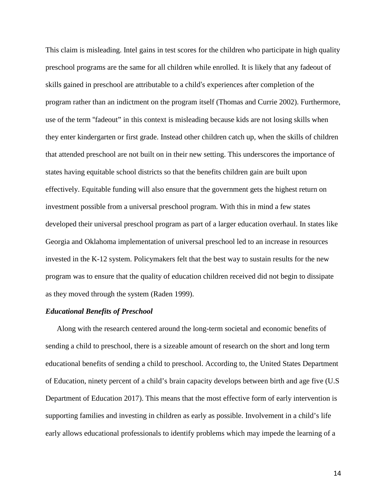This claim is misleading. Intel gains in test scores for the children who participate in high quality preschool programs are the same for all children while enrolled. It is likely that any fadeout of skills gained in preschool are attributable to a child's experiences after completion of the program rather than an indictment on the program itself (Thomas and Currie 2002). Furthermore, use of the term "fadeout" in this context is misleading because kids are not losing skills when they enter kindergarten or first grade. Instead other children catch up, when the skills of children that attended preschool are not built on in their new setting. This underscores the importance of states having equitable school districts so that the benefits children gain are built upon effectively. Equitable funding will also ensure that the government gets the highest return on investment possible from a universal preschool program. With this in mind a few states developed their universal preschool program as part of a larger education overhaul. In states like Georgia and Oklahoma implementation of universal preschool led to an increase in resources invested in the K-12 system. Policymakers felt that the best way to sustain results for the new program was to ensure that the quality of education children received did not begin to dissipate as they moved through the system (Raden 1999).

## *Educational Benefits of Preschool*

Along with the research centered around the long-term societal and economic benefits of sending a child to preschool, there is a sizeable amount of research on the short and long term educational benefits of sending a child to preschool. According to, the United States Department of Education, ninety percent of a child's brain capacity develops between birth and age five (U.S Department of Education 2017). This means that the most effective form of early intervention is supporting families and investing in children as early as possible. Involvement in a child's life early allows educational professionals to identify problems which may impede the learning of a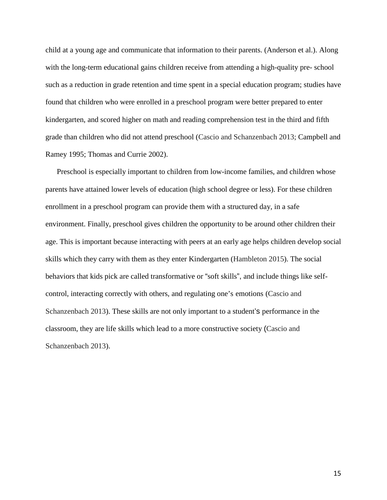child at a young age and communicate that information to their parents. (Anderson et al.). Along with the long-term educational gains children receive from attending a high-quality pre- school such as a reduction in grade retention and time spent in a special education program; studies have found that children who were enrolled in a preschool program were better prepared to enter kindergarten, and scored higher on math and reading comprehension test in the third and fifth grade than children who did not attend preschool (Cascio and Schanzenbach 2013; Campbell and Ramey 1995; Thomas and Currie 2002).

Preschool is especially important to children from low-income families, and children whose parents have attained lower levels of education (high school degree or less). For these children enrollment in a preschool program can provide them with a structured day, in a safe environment. Finally, preschool gives children the opportunity to be around other children their age. This is important because interacting with peers at an early age helps children develop social skills which they carry with them as they enter Kindergarten (Hambleton 2015). The social behaviors that kids pick are called transformative or "soft skills", and include things like selfcontrol, interacting correctly with others, and regulating one's emotions (Cascio and Schanzenbach 2013). These skills are not only important to a student's performance in the classroom, they are life skills which lead to a more constructive society (Cascio and Schanzenbach 2013).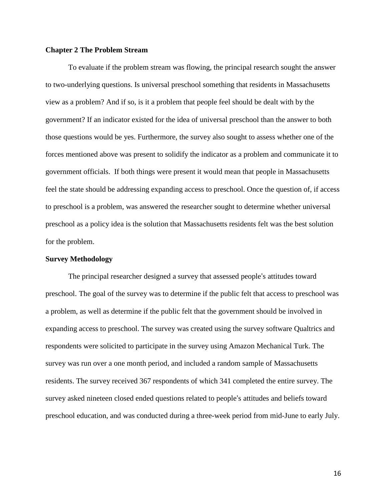## **Chapter 2 The Problem Stream**

To evaluate if the problem stream was flowing, the principal research sought the answer to two-underlying questions. Is universal preschool something that residents in Massachusetts view as a problem? And if so, is it a problem that people feel should be dealt with by the government? If an indicator existed for the idea of universal preschool than the answer to both those questions would be yes. Furthermore, the survey also sought to assess whether one of the forces mentioned above was present to solidify the indicator as a problem and communicate it to government officials. If both things were present it would mean that people in Massachusetts feel the state should be addressing expanding access to preschool. Once the question of, if access to preschool is a problem, was answered the researcher sought to determine whether universal preschool as a policy idea is the solution that Massachusetts residents felt was the best solution for the problem.

## **Survey Methodology**

The principal researcher designed a survey that assessed people's attitudes toward preschool. The goal of the survey was to determine if the public felt that access to preschool was a problem, as well as determine if the public felt that the government should be involved in expanding access to preschool. The survey was created using the survey software Qualtrics and respondents were solicited to participate in the survey using Amazon Mechanical Turk. The survey was run over a one month period, and included a random sample of Massachusetts residents. The survey received 367 respondents of which 341 completed the entire survey. The survey asked nineteen closed ended questions related to people's attitudes and beliefs toward preschool education, and was conducted during a three-week period from mid-June to early July.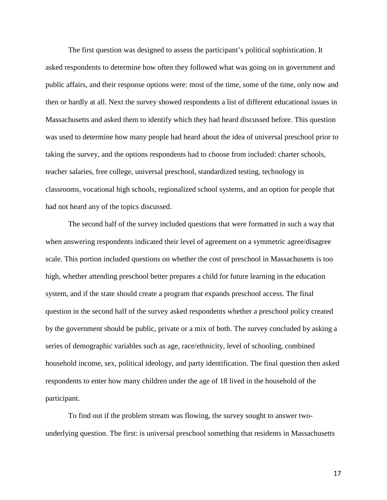The first question was designed to assess the participant's political sophistication. It asked respondents to determine how often they followed what was going on in government and public affairs, and their response options were: most of the time, some of the time, only now and then or hardly at all. Next the survey showed respondents a list of different educational issues in Massachusetts and asked them to identify which they had heard discussed before. This question was used to determine how many people had heard about the idea of universal preschool prior to taking the survey, and the options respondents had to choose from included: charter schools, teacher salaries, free college, universal preschool, standardized testing, technology in classrooms, vocational high schools, regionalized school systems, and an option for people that had not heard any of the topics discussed.

The second half of the survey included questions that were formatted in such a way that when answering respondents indicated their level of agreement on a symmetric agree/disagree scale. This portion included questions on whether the cost of preschool in Massachusetts is too high, whether attending preschool better prepares a child for future learning in the education system, and if the state should create a program that expands preschool access. The final question in the second half of the survey asked respondents whether a preschool policy created by the government should be public, private or a mix of both. The survey concluded by asking a series of demographic variables such as age, race/ethnicity, level of schooling, combined household income, sex, political ideology, and party identification. The final question then asked respondents to enter how many children under the age of 18 lived in the household of the participant.

To find out if the problem stream was flowing, the survey sought to answer twounderlying question. The first: is universal preschool something that residents in Massachusetts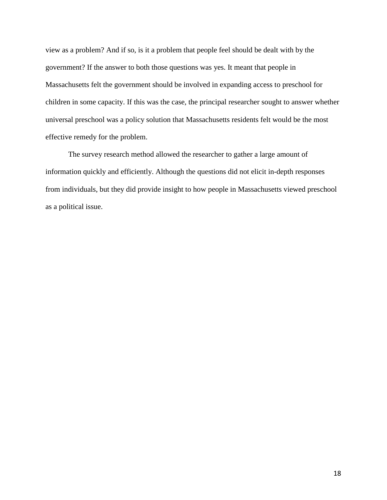view as a problem? And if so, is it a problem that people feel should be dealt with by the government? If the answer to both those questions was yes. It meant that people in Massachusetts felt the government should be involved in expanding access to preschool for children in some capacity. If this was the case, the principal researcher sought to answer whether universal preschool was a policy solution that Massachusetts residents felt would be the most effective remedy for the problem.

The survey research method allowed the researcher to gather a large amount of information quickly and efficiently. Although the questions did not elicit in-depth responses from individuals, but they did provide insight to how people in Massachusetts viewed preschool as a political issue.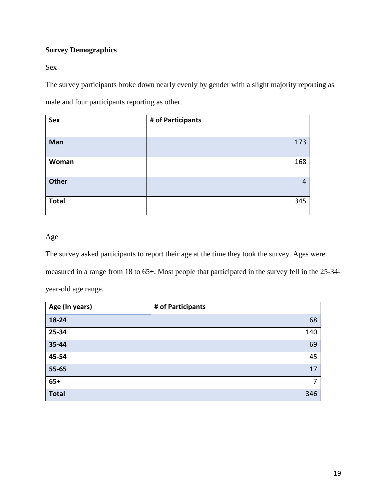# **Survey Demographics**

Sex

The survey participants broke down nearly evenly by gender with a slight majority reporting as male and four participants reporting as other.

| <b>Sex</b>   | # of Participants |
|--------------|-------------------|
| Man          | 173               |
| Woman        | 168               |
| <b>Other</b> | 4                 |
| <b>Total</b> | 345               |

# Age

The survey asked participants to report their age at the time they took the survey. Ages were measured in a range from 18 to 65+. Most people that participated in the survey fell in the 25-34 year-old age range.

| Age (In years) | # of Participants |
|----------------|-------------------|
| 18-24          | 68                |
| 25-34          | 140               |
| 35-44          | 69                |
| 45-54          | 45                |
| 55-65          | 17                |
| $65+$          | 7                 |
| <b>Total</b>   | 346               |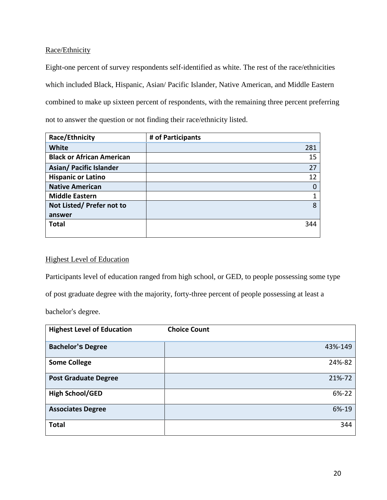Race/Ethnicity

Eight-one percent of survey respondents self-identified as white. The rest of the race/ethnicities which included Black, Hispanic, Asian/ Pacific Islander, Native American, and Middle Eastern combined to make up sixteen percent of respondents, with the remaining three percent preferring not to answer the question or not finding their race/ethnicity listed.

| Race/Ethnicity                   | # of Participants |
|----------------------------------|-------------------|
| White                            | 281               |
| <b>Black or African American</b> | 15                |
| <b>Asian/ Pacific Islander</b>   | 27                |
| <b>Hispanic or Latino</b>        | 12                |
| <b>Native American</b>           | 0                 |
| <b>Middle Eastern</b>            | 1                 |
| Not Listed/Prefer not to         | 8                 |
| answer                           |                   |
| <b>Total</b>                     | 344               |
|                                  |                   |

# Highest Level of Education

Participants level of education ranged from high school, or GED, to people possessing some type

of post graduate degree with the majority, forty-three percent of people possessing at least a

bachelor's degree.

| <b>Highest Level of Education</b> | <b>Choice Count</b> |
|-----------------------------------|---------------------|
| <b>Bachelor's Degree</b>          | 43%-149             |
| <b>Some College</b>               | 24%-82              |
| <b>Post Graduate Degree</b>       | 21%-72              |
| <b>High School/GED</b>            | 6%-22               |
| <b>Associates Degree</b>          | 6%-19               |
| <b>Total</b>                      | 344                 |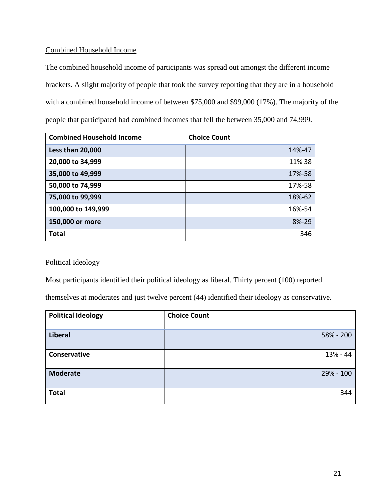## Combined Household Income

The combined household income of participants was spread out amongst the different income brackets. A slight majority of people that took the survey reporting that they are in a household with a combined household income of between \$75,000 and \$99,000 (17%). The majority of the people that participated had combined incomes that fell the between 35,000 and 74,999.

| <b>Combined Household Income</b> | <b>Choice Count</b> |
|----------------------------------|---------------------|
| Less than 20,000                 | 14%-47              |
| 20,000 to 34,999                 | 11%38               |
| 35,000 to 49,999                 | 17%-58              |
| 50,000 to 74,999                 | 17%-58              |
| 75,000 to 99,999                 | 18%-62              |
| 100,000 to 149,999               | 16%-54              |
| 150,000 or more                  | 8%-29               |
| <b>Total</b>                     | 346                 |

## Political Ideology

Most participants identified their political ideology as liberal. Thirty percent (100) reported

themselves at moderates and just twelve percent (44) identified their ideology as conservative.

| <b>Political Ideology</b> | <b>Choice Count</b> |
|---------------------------|---------------------|
| <b>Liberal</b>            | 58% - 200           |
| Conservative              | 13% - 44            |
| <b>Moderate</b>           | 29% - 100           |
| <b>Total</b>              | 344                 |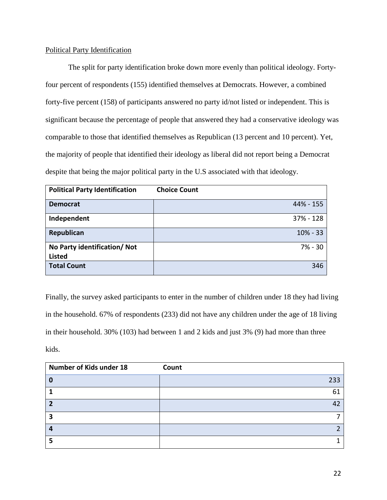## Political Party Identification

The split for party identification broke down more evenly than political ideology. Fortyfour percent of respondents (155) identified themselves at Democrats. However, a combined forty-five percent (158) of participants answered no party id/not listed or independent. This is significant because the percentage of people that answered they had a conservative ideology was comparable to those that identified themselves as Republican (13 percent and 10 percent). Yet, the majority of people that identified their ideology as liberal did not report being a Democrat despite that being the major political party in the U.S associated with that ideology.

| <b>Political Party Identification</b> | <b>Choice Count</b> |
|---------------------------------------|---------------------|
| <b>Democrat</b>                       | 44% - 155           |
| Independent                           | 37% - 128           |
| Republican                            | $10% - 33$          |
| No Party identification/ Not          | 7% - 30             |
| <b>Listed</b>                         |                     |
| <b>Total Count</b>                    | 346                 |

Finally, the survey asked participants to enter in the number of children under 18 they had living in the household. 67% of respondents (233) did not have any children under the age of 18 living in their household. 30% (103) had between 1 and 2 kids and just 3% (9) had more than three kids.

| Number of Kids under 18 | Count |
|-------------------------|-------|
|                         | 233   |
|                         | 61    |
|                         |       |
| э                       |       |
|                         |       |
|                         |       |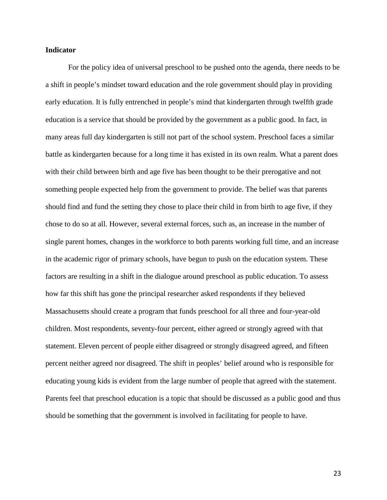#### **Indicator**

For the policy idea of universal preschool to be pushed onto the agenda, there needs to be a shift in people's mindset toward education and the role government should play in providing early education. It is fully entrenched in people's mind that kindergarten through twelfth grade education is a service that should be provided by the government as a public good. In fact, in many areas full day kindergarten is still not part of the school system. Preschool faces a similar battle as kindergarten because for a long time it has existed in its own realm. What a parent does with their child between birth and age five has been thought to be their prerogative and not something people expected help from the government to provide. The belief was that parents should find and fund the setting they chose to place their child in from birth to age five, if they chose to do so at all. However, several external forces, such as, an increase in the number of single parent homes, changes in the workforce to both parents working full time, and an increase in the academic rigor of primary schools, have begun to push on the education system. These factors are resulting in a shift in the dialogue around preschool as public education. To assess how far this shift has gone the principal researcher asked respondents if they believed Massachusetts should create a program that funds preschool for all three and four-year-old children. Most respondents, seventy-four percent, either agreed or strongly agreed with that statement. Eleven percent of people either disagreed or strongly disagreed agreed, and fifteen percent neither agreed nor disagreed. The shift in peoples' belief around who is responsible for educating young kids is evident from the large number of people that agreed with the statement. Parents feel that preschool education is a topic that should be discussed as a public good and thus should be something that the government is involved in facilitating for people to have.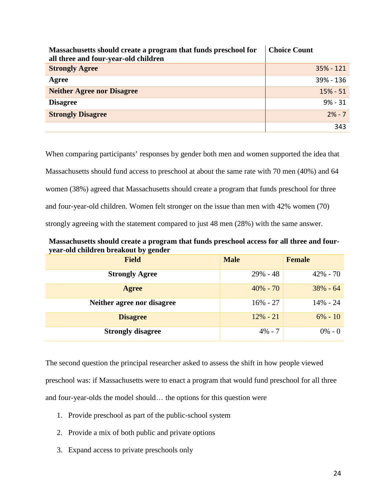| Massachusetts should create a program that funds preschool for<br>all three and four-year-old children | <b>Choice Count</b> |
|--------------------------------------------------------------------------------------------------------|---------------------|
| <b>Strongly Agree</b>                                                                                  | $35% - 121$         |
| Agree                                                                                                  | 39% - 136           |
| <b>Neither Agree nor Disagree</b>                                                                      | $15% - 51$          |
| <b>Disagree</b>                                                                                        | $9% - 31$           |
| <b>Strongly Disagree</b>                                                                               | $2\% - 7$           |
|                                                                                                        | 343                 |

When comparing participants' responses by gender both men and women supported the idea that Massachusetts should fund access to preschool at about the same rate with 70 men (40%) and 64 women (38%) agreed that Massachusetts should create a program that funds preschool for three and four-year-old children. Women felt stronger on the issue than men with 42% women (70) strongly agreeing with the statement compared to just 48 men (28%) with the same answer.

**Massachusetts should create a program that funds preschool access for all three and fouryear-old children breakout by gender**

| <b>Field</b>               | <b>Male</b> | <b>Female</b> |
|----------------------------|-------------|---------------|
| <b>Strongly Agree</b>      | $29\% - 48$ | $42\% - 70$   |
| <b>Agree</b>               | $40\% - 70$ | $38\% - 64$   |
| Neither agree nor disagree | $16\% - 27$ | $14\% - 24$   |
| <b>Disagree</b>            | $12\% - 21$ | $6\% - 10$    |
| <b>Strongly disagree</b>   | $4\% - 7$   | $0\% - 0$     |

The second question the principal researcher asked to assess the shift in how people viewed preschool was: if Massachusetts were to enact a program that would fund preschool for all three and four-year-olds the model should… the options for this question were

- 1. Provide preschool as part of the public-school system
- 2. Provide a mix of both public and private options
- 3. Expand access to private preschools only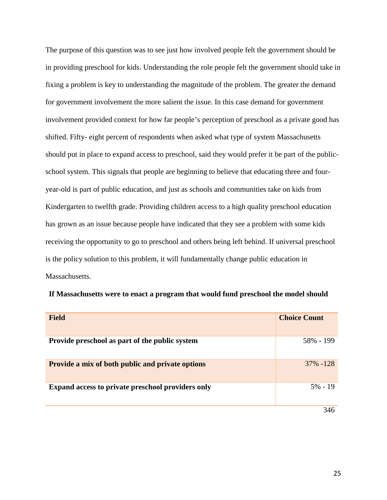The purpose of this question was to see just how involved people felt the government should be in providing preschool for kids. Understanding the role people felt the government should take in fixing a problem is key to understanding the magnitude of the problem. The greater the demand for government involvement the more salient the issue. In this case demand for government involvement provided context for how far people's perception of preschool as a private good has shifted. Fifty- eight percent of respondents when asked what type of system Massachusetts should put in place to expand access to preschool, said they would prefer it be part of the publicschool system. This signals that people are beginning to believe that educating three and fouryear-old is part of public education, and just as schools and communities take on kids from Kindergarten to twelfth grade. Providing children access to a high quality preschool education has grown as an issue because people have indicated that they see a problem with some kids receiving the opportunity to go to preschool and others being left behind. If universal preschool is the policy solution to this problem, it will fundamentally change public education in Massachusetts.

| <b>Field</b>                                             | <b>Choice Count</b> |
|----------------------------------------------------------|---------------------|
| Provide preschool as part of the public system           | 58% - 199           |
| <b>Provide a mix of both public and private options</b>  | 37% - 128           |
| <b>Expand access to private preschool providers only</b> | $5\% - 19$          |
|                                                          | 346                 |

|  | If Massachusetts were to enact a program that would fund preschool the model should |
|--|-------------------------------------------------------------------------------------|
|--|-------------------------------------------------------------------------------------|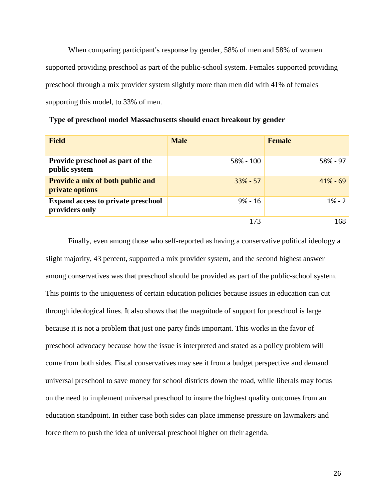When comparing participant's response by gender, 58% of men and 58% of women supported providing preschool as part of the public-school system. Females supported providing preschool through a mix provider system slightly more than men did with 41% of females supporting this model, to 33% of men.

| <b>Field</b>                                                | <b>Male</b> | <b>Female</b> |
|-------------------------------------------------------------|-------------|---------------|
| Provide preschool as part of the<br>public system           | 58% - 100   | $58\% - 97$   |
| <b>Provide a mix of both public and</b><br>private options  | $33\% - 57$ | $41\% - 69$   |
| <b>Expand access to private preschool</b><br>providers only | $9% - 16$   | $1\% - 2$     |
|                                                             | 173         | 168           |

**Type of preschool model Massachusetts should enact breakout by gender**

Finally, even among those who self-reported as having a conservative political ideology a slight majority, 43 percent, supported a mix provider system, and the second highest answer among conservatives was that preschool should be provided as part of the public-school system. This points to the uniqueness of certain education policies because issues in education can cut through ideological lines. It also shows that the magnitude of support for preschool is large because it is not a problem that just one party finds important. This works in the favor of preschool advocacy because how the issue is interpreted and stated as a policy problem will come from both sides. Fiscal conservatives may see it from a budget perspective and demand universal preschool to save money for school districts down the road, while liberals may focus on the need to implement universal preschool to insure the highest quality outcomes from an education standpoint. In either case both sides can place immense pressure on lawmakers and force them to push the idea of universal preschool higher on their agenda.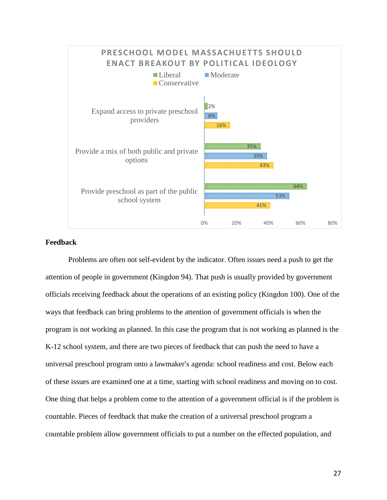

## **Feedback**

Problems are often not self-evident by the indicator. Often issues need a push to get the attention of people in government (Kingdon 94). That push is usually provided by government officials receiving feedback about the operations of an existing policy (Kingdon 100). One of the ways that feedback can bring problems to the attention of government officials is when the program is not working as planned. In this case the program that is not working as planned is the K-12 school system, and there are two pieces of feedback that can push the need to have a universal preschool program onto a lawmaker's agenda: school readiness and cost. Below each of these issues are examined one at a time, starting with school readiness and moving on to cost. One thing that helps a problem come to the attention of a government official is if the problem is countable. Pieces of feedback that make the creation of a universal preschool program a countable problem allow government officials to put a number on the effected population, and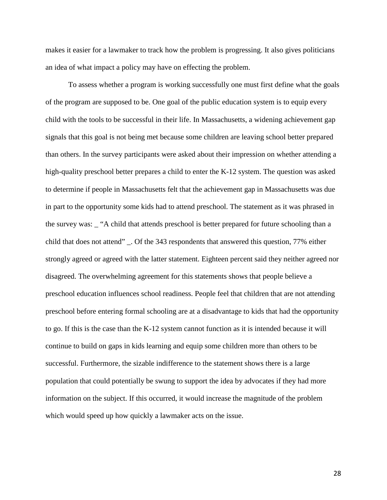makes it easier for a lawmaker to track how the problem is progressing. It also gives politicians an idea of what impact a policy may have on effecting the problem.

To assess whether a program is working successfully one must first define what the goals of the program are supposed to be. One goal of the public education system is to equip every child with the tools to be successful in their life. In Massachusetts, a widening achievement gap signals that this goal is not being met because some children are leaving school better prepared than others. In the survey participants were asked about their impression on whether attending a high-quality preschool better prepares a child to enter the K-12 system. The question was asked to determine if people in Massachusetts felt that the achievement gap in Massachusetts was due in part to the opportunity some kids had to attend preschool. The statement as it was phrased in the survey was: \_ "A child that attends preschool is better prepared for future schooling than a child that does not attend" \_. Of the 343 respondents that answered this question, 77% either strongly agreed or agreed with the latter statement. Eighteen percent said they neither agreed nor disagreed. The overwhelming agreement for this statements shows that people believe a preschool education influences school readiness. People feel that children that are not attending preschool before entering formal schooling are at a disadvantage to kids that had the opportunity to go. If this is the case than the K-12 system cannot function as it is intended because it will continue to build on gaps in kids learning and equip some children more than others to be successful. Furthermore, the sizable indifference to the statement shows there is a large population that could potentially be swung to support the idea by advocates if they had more information on the subject. If this occurred, it would increase the magnitude of the problem which would speed up how quickly a lawmaker acts on the issue.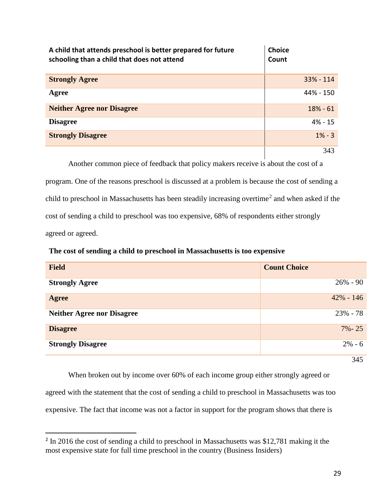| A child that attends preschool is better prepared for future<br>schooling than a child that does not attend | Choice<br>Count |
|-------------------------------------------------------------------------------------------------------------|-----------------|
| <b>Strongly Agree</b>                                                                                       | $33% - 114$     |
| Agree                                                                                                       | 44% - 150       |
| <b>Neither Agree nor Disagree</b>                                                                           | $18% - 61$      |
| <b>Disagree</b>                                                                                             | $4\% - 15$      |
| <b>Strongly Disagree</b>                                                                                    | $1\% - 3$       |
|                                                                                                             | 343             |

Another common piece of feedback that policy makers receive is about the cost of a

program. One of the reasons preschool is discussed at a problem is because the cost of sending a child to preschool in Massachusetts has been steadily increasing overtime<sup>[2](#page-29-0)</sup> and when asked if the cost of sending a child to preschool was too expensive, 68% of respondents either strongly agreed or agreed.

**The cost of sending a child to preschool in Massachusetts is too expensive**

| <b>Field</b>                      | <b>Count Choice</b> |
|-----------------------------------|---------------------|
| <b>Strongly Agree</b>             | $26\% - 90$         |
| Agree                             | $42\% - 146$        |
| <b>Neither Agree nor Disagree</b> | $23\% - 78$         |
| <b>Disagree</b>                   | $7\% - 25$          |
| <b>Strongly Disagree</b>          | $2\% - 6$           |
|                                   | $\sim$ $\sim$       |

345

When broken out by income over 60% of each income group either strongly agreed or agreed with the statement that the cost of sending a child to preschool in Massachusetts was too expensive. The fact that income was not a factor in support for the program shows that there is

<span id="page-29-0"></span><sup>&</sup>lt;sup>2</sup> In 2016 the cost of sending a child to preschool in Massachusetts was \$12,781 making it the most expensive state for full time preschool in the country (Business Insiders)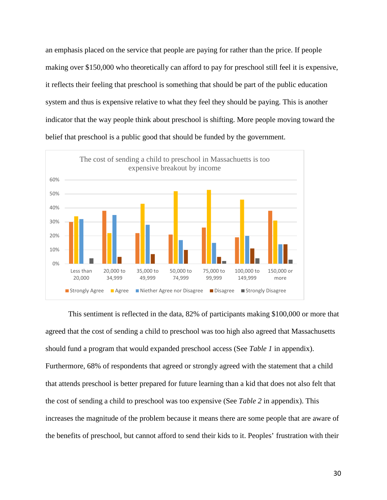an emphasis placed on the service that people are paying for rather than the price. If people making over \$150,000 who theoretically can afford to pay for preschool still feel it is expensive, it reflects their feeling that preschool is something that should be part of the public education system and thus is expensive relative to what they feel they should be paying. This is another indicator that the way people think about preschool is shifting. More people moving toward the belief that preschool is a public good that should be funded by the government.



This sentiment is reflected in the data, 82% of participants making \$100,000 or more that agreed that the cost of sending a child to preschool was too high also agreed that Massachusetts should fund a program that would expanded preschool access (See *Table 1* in appendix). Furthermore, 68% of respondents that agreed or strongly agreed with the statement that a child that attends preschool is better prepared for future learning than a kid that does not also felt that the cost of sending a child to preschool was too expensive (See *Table 2* in appendix). This increases the magnitude of the problem because it means there are some people that are aware of the benefits of preschool, but cannot afford to send their kids to it. Peoples' frustration with their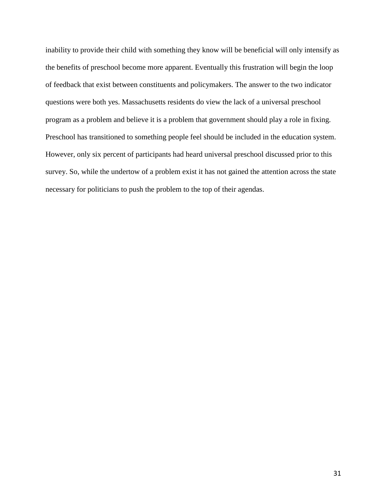inability to provide their child with something they know will be beneficial will only intensify as the benefits of preschool become more apparent. Eventually this frustration will begin the loop of feedback that exist between constituents and policymakers. The answer to the two indicator questions were both yes. Massachusetts residents do view the lack of a universal preschool program as a problem and believe it is a problem that government should play a role in fixing. Preschool has transitioned to something people feel should be included in the education system. However, only six percent of participants had heard universal preschool discussed prior to this survey. So, while the undertow of a problem exist it has not gained the attention across the state necessary for politicians to push the problem to the top of their agendas.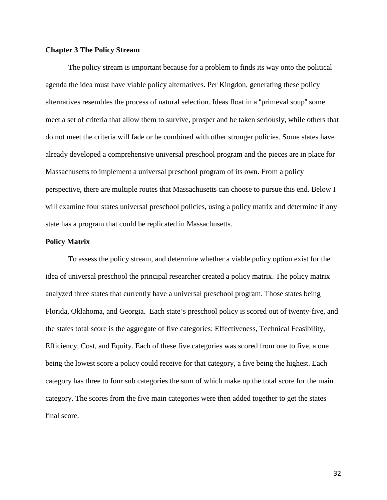## **Chapter 3 The Policy Stream**

The policy stream is important because for a problem to finds its way onto the political agenda the idea must have viable policy alternatives. Per Kingdon, generating these policy alternatives resembles the process of natural selection. Ideas float in a "primeval soup" some meet a set of criteria that allow them to survive, prosper and be taken seriously, while others that do not meet the criteria will fade or be combined with other stronger policies. Some states have already developed a comprehensive universal preschool program and the pieces are in place for Massachusetts to implement a universal preschool program of its own. From a policy perspective, there are multiple routes that Massachusetts can choose to pursue this end. Below I will examine four states universal preschool policies, using a policy matrix and determine if any state has a program that could be replicated in Massachusetts.

#### **Policy Matrix**

To assess the policy stream, and determine whether a viable policy option exist for the idea of universal preschool the principal researcher created a policy matrix. The policy matrix analyzed three states that currently have a universal preschool program. Those states being Florida, Oklahoma, and Georgia. Each state's preschool policy is scored out of twenty-five, and the states total score is the aggregate of five categories: Effectiveness, Technical Feasibility, Efficiency, Cost, and Equity. Each of these five categories was scored from one to five, a one being the lowest score a policy could receive for that category, a five being the highest. Each category has three to four sub categories the sum of which make up the total score for the main category. The scores from the five main categories were then added together to get the states final score.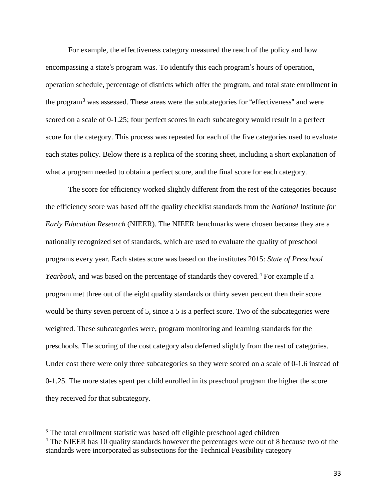For example, the effectiveness category measured the reach of the policy and how encompassing a state's program was. To identify this each program's hours of operation, operation schedule, percentage of districts which offer the program, and total state enrollment in the program<sup>[3](#page-33-0)</sup> was assessed. These areas were the subcategories for "effectiveness" and were scored on a scale of 0-1.25; four perfect scores in each subcategory would result in a perfect score for the category. This process was repeated for each of the five categories used to evaluate each states policy. Below there is a replica of the scoring sheet, including a short explanation of what a program needed to obtain a perfect score, and the final score for each category.

The score for efficiency worked slightly different from the rest of the categories because the efficiency score was based off the quality checklist standards from the *National* Institute *for Early Education Research* (NIEER). The NIEER benchmarks were chosen because they are a nationally recognized set of standards, which are used to evaluate the quality of preschool programs every year. Each states score was based on the institutes 2015: *State of Preschool Yearbook*, and was based on the percentage of standards they covered.<sup>[4](#page-33-1)</sup> For example if a program met three out of the eight quality standards or thirty seven percent then their score would be thirty seven percent of 5, since a 5 is a perfect score. Two of the subcategories were weighted. These subcategories were, program monitoring and learning standards for the preschools. The scoring of the cost category also deferred slightly from the rest of categories. Under cost there were only three subcategories so they were scored on a scale of 0-1.6 instead of 0-1.25. The more states spent per child enrolled in its preschool program the higher the score they received for that subcategory.

<span id="page-33-0"></span><sup>&</sup>lt;sup>3</sup> The total enrollment statistic was based off eligible preschool aged children

<span id="page-33-1"></span> $4$  The NIEER has 10 quality standards however the percentages were out of 8 because two of the standards were incorporated as subsections for the Technical Feasibility category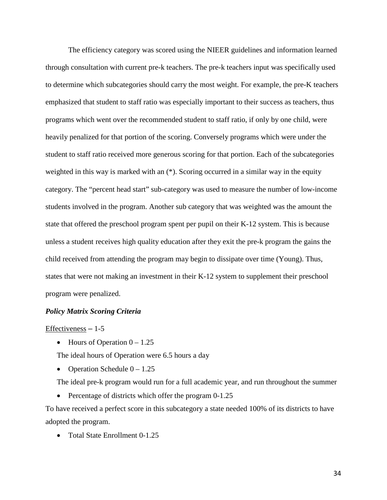The efficiency category was scored using the NIEER guidelines and information learned through consultation with current pre-k teachers. The pre-k teachers input was specifically used to determine which subcategories should carry the most weight. For example, the pre-K teachers emphasized that student to staff ratio was especially important to their success as teachers, thus programs which went over the recommended student to staff ratio, if only by one child, were heavily penalized for that portion of the scoring. Conversely programs which were under the student to staff ratio received more generous scoring for that portion. Each of the subcategories weighted in this way is marked with an (\*). Scoring occurred in a similar way in the equity category. The "percent head start" sub-category was used to measure the number of low-income students involved in the program. Another sub category that was weighted was the amount the state that offered the preschool program spent per pupil on their K-12 system. This is because unless a student receives high quality education after they exit the pre-k program the gains the child received from attending the program may begin to dissipate over time (Young). Thus, states that were not making an investment in their K-12 system to supplement their preschool program were penalized.

## *Policy Matrix Scoring Criteria*

#### Effectiveness  $-1-5$

• Hours of Operation  $0 - 1.25$ 

The ideal hours of Operation were 6.5 hours a day

• Operation Schedule  $0 - 1.25$ 

The ideal pre-k program would run for a full academic year, and run throughout the summer

• Percentage of districts which offer the program 0-1.25

To have received a perfect score in this subcategory a state needed 100% of its districts to have adopted the program.

• Total State Enrollment 0-1.25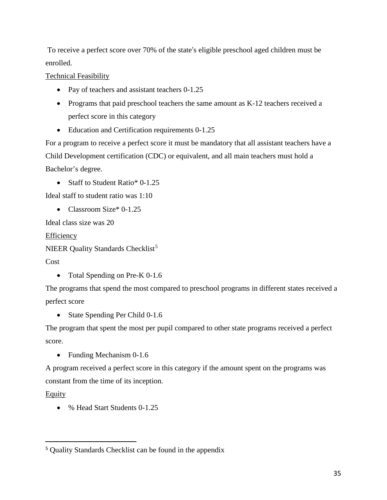To receive a perfect score over 70% of the state's eligible preschool aged children must be enrolled.

Technical Feasibility

- Pay of teachers and assistant teachers 0-1.25
- Programs that paid preschool teachers the same amount as K-12 teachers received a perfect score in this category
- Education and Certification requirements 0-1.25

For a program to receive a perfect score it must be mandatory that all assistant teachers have a Child Development certification (CDC) or equivalent, and all main teachers must hold a Bachelor's degree.

• Staff to Student Ratio\* 0-1.25

Ideal staff to student ratio was 1:10

• Classroom Size\* 0-1.25

Ideal class size was 20

**Efficiency** 

NIEER Quality Standards Checklist<sup>[5](#page-35-0)</sup>

Cost

• Total Spending on Pre-K 0-1.6

The programs that spend the most compared to preschool programs in different states received a perfect score

• State Spending Per Child 0-1.6

The program that spent the most per pupil compared to other state programs received a perfect score.

• Funding Mechanism 0-1.6

A program received a perfect score in this category if the amount spent on the programs was constant from the time of its inception.

Equity

• % Head Start Students 0-1.25

<span id="page-35-0"></span> <sup>5</sup> Quality Standards Checklist can be found in the appendix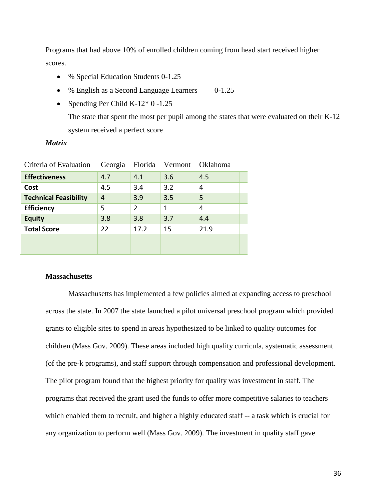Programs that had above 10% of enrolled children coming from head start received higher scores.

- % Special Education Students 0-1.25
- % English as a Second Language Learners 0-1.25
- Spending Per Child K-12\* 0 -1.25

The state that spent the most per pupil among the states that were evaluated on their K-12 system received a perfect score

## *Matrix*

| Criteria of Evaluation       | Georgia | Florida        | Vermont | Oklahoma |  |  |
|------------------------------|---------|----------------|---------|----------|--|--|
| <b>Effectiveness</b>         | 4.7     | 4.1            | 3.6     | 4.5      |  |  |
| Cost                         | 4.5     | 3.4            | 3.2     | 4        |  |  |
| <b>Technical Feasibility</b> | 4       | 3.9            | 3.5     | 5        |  |  |
| <b>Efficiency</b>            | 5       | $\overline{2}$ | 1       | 4        |  |  |
| <b>Equity</b>                | 3.8     | 3.8            | 3.7     | 4.4      |  |  |
| <b>Total Score</b>           | 22      | 17.2           | 15      | 21.9     |  |  |
|                              |         |                |         |          |  |  |
|                              |         |                |         |          |  |  |

## **Massachusetts**

Massachusetts has implemented a few policies aimed at expanding access to preschool across the state. In 2007 the state launched a pilot universal preschool program which provided grants to eligible sites to spend in areas hypothesized to be linked to quality outcomes for children (Mass Gov. 2009). These areas included high quality curricula, systematic assessment (of the pre-k programs), and staff support through compensation and professional development. The pilot program found that the highest priority for quality was investment in staff. The programs that received the grant used the funds to offer more competitive salaries to teachers which enabled them to recruit, and higher a highly educated staff -- a task which is crucial for any organization to perform well (Mass Gov. 2009). The investment in quality staff gave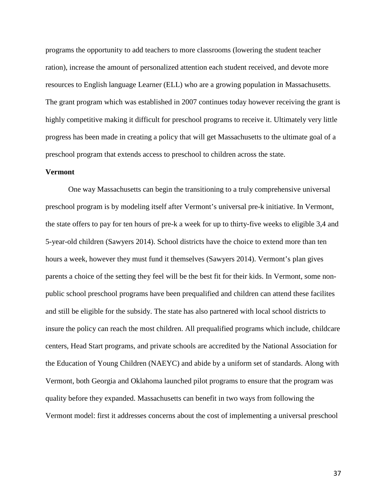programs the opportunity to add teachers to more classrooms (lowering the student teacher ration), increase the amount of personalized attention each student received, and devote more resources to English language Learner (ELL) who are a growing population in Massachusetts. The grant program which was established in 2007 continues today however receiving the grant is highly competitive making it difficult for preschool programs to receive it. Ultimately very little progress has been made in creating a policy that will get Massachusetts to the ultimate goal of a preschool program that extends access to preschool to children across the state.

#### **Vermont**

One way Massachusetts can begin the transitioning to a truly comprehensive universal preschool program is by modeling itself after Vermont's universal pre-k initiative. In Vermont, the state offers to pay for ten hours of pre-k a week for up to thirty-five weeks to eligible 3,4 and 5-year-old children (Sawyers 2014). School districts have the choice to extend more than ten hours a week, however they must fund it themselves (Sawyers 2014). Vermont's plan gives parents a choice of the setting they feel will be the best fit for their kids. In Vermont, some nonpublic school preschool programs have been prequalified and children can attend these facilites and still be eligible for the subsidy. The state has also partnered with local school districts to insure the policy can reach the most children. All prequalified programs which include, childcare centers, Head Start programs, and private schools are accredited by the National Association for the Education of Young Children (NAEYC) and abide by a uniform set of standards. Along with Vermont, both Georgia and Oklahoma launched pilot programs to ensure that the program was quality before they expanded. Massachusetts can benefit in two ways from following the Vermont model: first it addresses concerns about the cost of implementing a universal preschool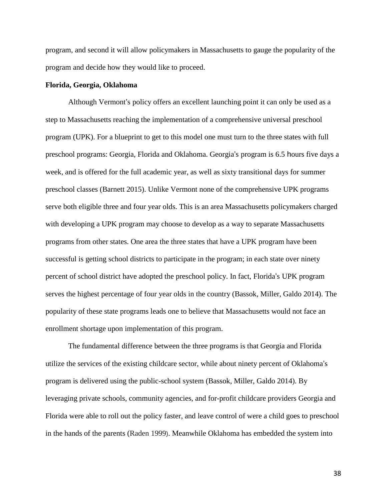program, and second it will allow policymakers in Massachusetts to gauge the popularity of the program and decide how they would like to proceed.

#### **Florida, Georgia, Oklahoma**

Although Vermont's policy offers an excellent launching point it can only be used as a step to Massachusetts reaching the implementation of a comprehensive universal preschool program (UPK). For a blueprint to get to this model one must turn to the three states with full preschool programs: Georgia, Florida and Oklahoma. Georgia's program is 6.5 hours five days a week, and is offered for the full academic year, as well as sixty transitional days for summer preschool classes (Barnett 2015). Unlike Vermont none of the comprehensive UPK programs serve both eligible three and four year olds. This is an area Massachusetts policymakers charged with developing a UPK program may choose to develop as a way to separate Massachusetts programs from other states. One area the three states that have a UPK program have been successful is getting school districts to participate in the program; in each state over ninety percent of school district have adopted the preschool policy. In fact, Florida's UPK program serves the highest percentage of four year olds in the country (Bassok, Miller, Galdo 2014). The popularity of these state programs leads one to believe that Massachusetts would not face an enrollment shortage upon implementation of this program.

The fundamental difference between the three programs is that Georgia and Florida utilize the services of the existing childcare sector, while about ninety percent of Oklahoma's program is delivered using the public-school system (Bassok, Miller, Galdo 2014). By leveraging private schools, community agencies, and for-profit childcare providers Georgia and Florida were able to roll out the policy faster, and leave control of were a child goes to preschool in the hands of the parents (Raden 1999). Meanwhile Oklahoma has embedded the system into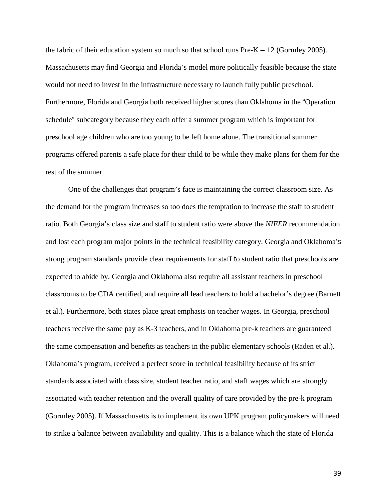the fabric of their education system so much so that school runs  $Pre-K - 12$  (Gormley 2005). Massachusetts may find Georgia and Florida's model more politically feasible because the state would not need to invest in the infrastructure necessary to launch fully public preschool. Furthermore, Florida and Georgia both received higher scores than Oklahoma in the "Operation schedule" subcategory because they each offer a summer program which is important for preschool age children who are too young to be left home alone. The transitional summer programs offered parents a safe place for their child to be while they make plans for them for the rest of the summer.

One of the challenges that program's face is maintaining the correct classroom size. As the demand for the program increases so too does the temptation to increase the staff to student ratio. Both Georgia's class size and staff to student ratio were above the *NIEER* recommendation and lost each program major points in the technical feasibility category. Georgia and Oklahoma's strong program standards provide clear requirements for staff to student ratio that preschools are expected to abide by. Georgia and Oklahoma also require all assistant teachers in preschool classrooms to be CDA certified, and require all lead teachers to hold a bachelor's degree (Barnett et al.). Furthermore, both states place great emphasis on teacher wages. In Georgia, preschool teachers receive the same pay as K-3 teachers, and in Oklahoma pre-k teachers are guaranteed the same compensation and benefits as teachers in the public elementary schools (Raden et al.). Oklahoma's program, received a perfect score in technical feasibility because of its strict standards associated with class size, student teacher ratio, and staff wages which are strongly associated with teacher retention and the overall quality of care provided by the pre-k program (Gormley 2005). If Massachusetts is to implement its own UPK program policymakers will need to strike a balance between availability and quality. This is a balance which the state of Florida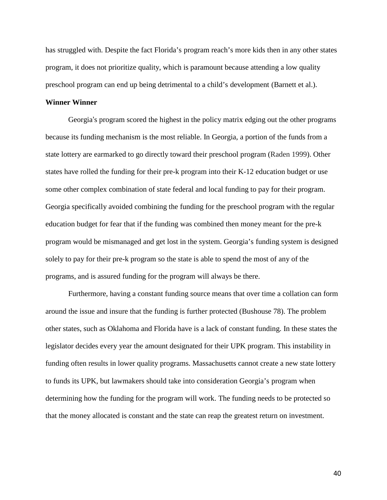has struggled with. Despite the fact Florida's program reach's more kids then in any other states program, it does not prioritize quality, which is paramount because attending a low quality preschool program can end up being detrimental to a child's development (Barnett et al.).

## **Winner Winner**

Georgia's program scored the highest in the policy matrix edging out the other programs because its funding mechanism is the most reliable. In Georgia, a portion of the funds from a state lottery are earmarked to go directly toward their preschool program (Raden 1999). Other states have rolled the funding for their pre-k program into their K-12 education budget or use some other complex combination of state federal and local funding to pay for their program. Georgia specifically avoided combining the funding for the preschool program with the regular education budget for fear that if the funding was combined then money meant for the pre-k program would be mismanaged and get lost in the system. Georgia's funding system is designed solely to pay for their pre-k program so the state is able to spend the most of any of the programs, and is assured funding for the program will always be there.

Furthermore, having a constant funding source means that over time a collation can form around the issue and insure that the funding is further protected (Bushouse 78). The problem other states, such as Oklahoma and Florida have is a lack of constant funding. In these states the legislator decides every year the amount designated for their UPK program. This instability in funding often results in lower quality programs. Massachusetts cannot create a new state lottery to funds its UPK, but lawmakers should take into consideration Georgia's program when determining how the funding for the program will work. The funding needs to be protected so that the money allocated is constant and the state can reap the greatest return on investment.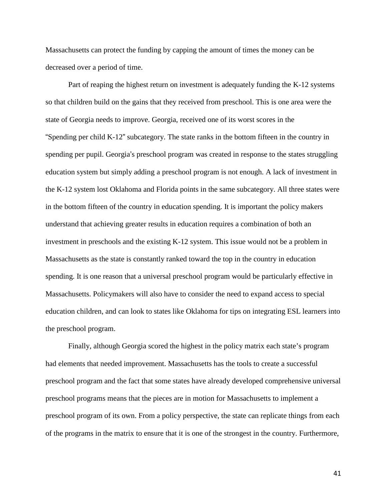Massachusetts can protect the funding by capping the amount of times the money can be decreased over a period of time.

Part of reaping the highest return on investment is adequately funding the K-12 systems so that children build on the gains that they received from preschool. This is one area were the state of Georgia needs to improve. Georgia, received one of its worst scores in the "Spending per child K-12" subcategory. The state ranks in the bottom fifteen in the country in spending per pupil. Georgia's preschool program was created in response to the states struggling education system but simply adding a preschool program is not enough. A lack of investment in the K-12 system lost Oklahoma and Florida points in the same subcategory. All three states were in the bottom fifteen of the country in education spending. It is important the policy makers understand that achieving greater results in education requires a combination of both an investment in preschools and the existing K-12 system. This issue would not be a problem in Massachusetts as the state is constantly ranked toward the top in the country in education spending. It is one reason that a universal preschool program would be particularly effective in Massachusetts. Policymakers will also have to consider the need to expand access to special education children, and can look to states like Oklahoma for tips on integrating ESL learners into the preschool program.

Finally, although Georgia scored the highest in the policy matrix each state's program had elements that needed improvement. Massachusetts has the tools to create a successful preschool program and the fact that some states have already developed comprehensive universal preschool programs means that the pieces are in motion for Massachusetts to implement a preschool program of its own. From a policy perspective, the state can replicate things from each of the programs in the matrix to ensure that it is one of the strongest in the country. Furthermore,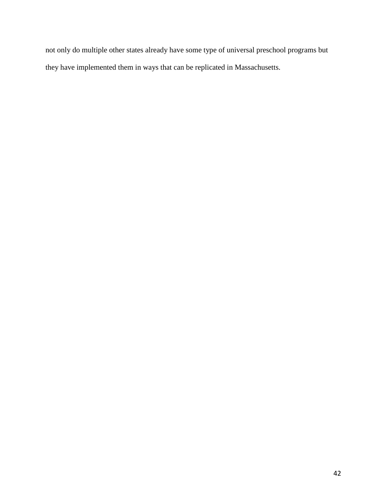not only do multiple other states already have some type of universal preschool programs but they have implemented them in ways that can be replicated in Massachusetts.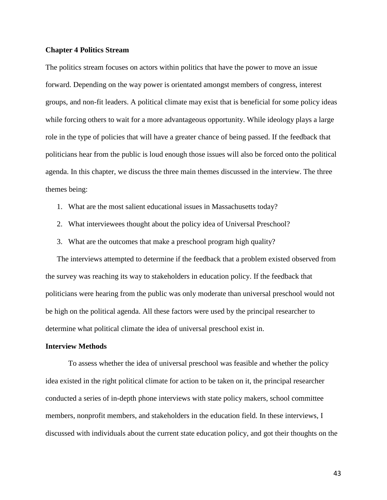#### **Chapter 4 Politics Stream**

The politics stream focuses on actors within politics that have the power to move an issue forward. Depending on the way power is orientated amongst members of congress, interest groups, and non-fit leaders. A political climate may exist that is beneficial for some policy ideas while forcing others to wait for a more advantageous opportunity. While ideology plays a large role in the type of policies that will have a greater chance of being passed. If the feedback that politicians hear from the public is loud enough those issues will also be forced onto the political agenda. In this chapter, we discuss the three main themes discussed in the interview. The three themes being:

- 1. What are the most salient educational issues in Massachusetts today?
- 2. What interviewees thought about the policy idea of Universal Preschool?
- 3. What are the outcomes that make a preschool program high quality?

The interviews attempted to determine if the feedback that a problem existed observed from the survey was reaching its way to stakeholders in education policy. If the feedback that politicians were hearing from the public was only moderate than universal preschool would not be high on the political agenda. All these factors were used by the principal researcher to determine what political climate the idea of universal preschool exist in.

#### **Interview Methods**

To assess whether the idea of universal preschool was feasible and whether the policy idea existed in the right political climate for action to be taken on it, the principal researcher conducted a series of in-depth phone interviews with state policy makers, school committee members, nonprofit members, and stakeholders in the education field. In these interviews, I discussed with individuals about the current state education policy, and got their thoughts on the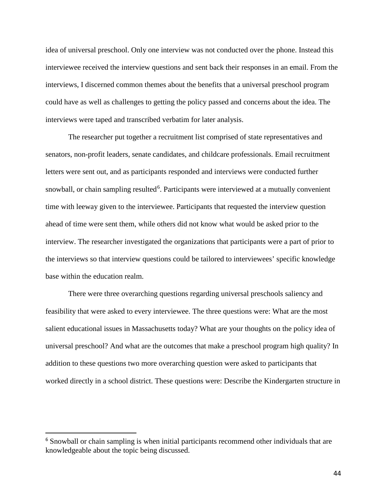idea of universal preschool. Only one interview was not conducted over the phone. Instead this interviewee received the interview questions and sent back their responses in an email. From the interviews, I discerned common themes about the benefits that a universal preschool program could have as well as challenges to getting the policy passed and concerns about the idea. The interviews were taped and transcribed verbatim for later analysis.

The researcher put together a recruitment list comprised of state representatives and senators, non-profit leaders, senate candidates, and childcare professionals. Email recruitment letters were sent out, and as participants responded and interviews were conducted further snowball, or chain sampling resulted<sup>[6](#page-44-0)</sup>. Participants were interviewed at a mutually convenient time with leeway given to the interviewee. Participants that requested the interview question ahead of time were sent them, while others did not know what would be asked prior to the interview. The researcher investigated the organizations that participants were a part of prior to the interviews so that interview questions could be tailored to interviewees' specific knowledge base within the education realm.

There were three overarching questions regarding universal preschools saliency and feasibility that were asked to every interviewee. The three questions were: What are the most salient educational issues in Massachusetts today? What are your thoughts on the policy idea of universal preschool? And what are the outcomes that make a preschool program high quality? In addition to these questions two more overarching question were asked to participants that worked directly in a school district. These questions were: Describe the Kindergarten structure in

<span id="page-44-0"></span><sup>&</sup>lt;sup>6</sup> Snowball or chain sampling is when initial participants recommend other individuals that are knowledgeable about the topic being discussed.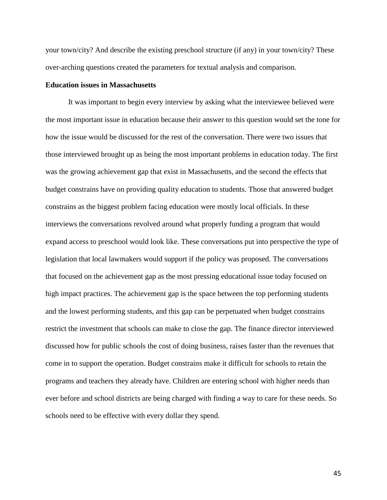your town/city? And describe the existing preschool structure (if any) in your town/city? These over-arching questions created the parameters for textual analysis and comparison.

#### **Education issues in Massachusetts**

It was important to begin every interview by asking what the interviewee believed were the most important issue in education because their answer to this question would set the tone for how the issue would be discussed for the rest of the conversation. There were two issues that those interviewed brought up as being the most important problems in education today. The first was the growing achievement gap that exist in Massachusetts, and the second the effects that budget constrains have on providing quality education to students. Those that answered budget constrains as the biggest problem facing education were mostly local officials. In these interviews the conversations revolved around what properly funding a program that would expand access to preschool would look like. These conversations put into perspective the type of legislation that local lawmakers would support if the policy was proposed. The conversations that focused on the achievement gap as the most pressing educational issue today focused on high impact practices. The achievement gap is the space between the top performing students and the lowest performing students, and this gap can be perpetuated when budget constrains restrict the investment that schools can make to close the gap. The finance director interviewed discussed how for public schools the cost of doing business, raises faster than the revenues that come in to support the operation. Budget constrains make it difficult for schools to retain the programs and teachers they already have. Children are entering school with higher needs than ever before and school districts are being charged with finding a way to care for these needs. So schools need to be effective with every dollar they spend.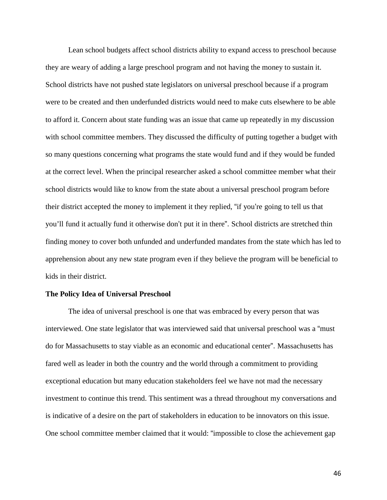Lean school budgets affect school districts ability to expand access to preschool because they are weary of adding a large preschool program and not having the money to sustain it. School districts have not pushed state legislators on universal preschool because if a program were to be created and then underfunded districts would need to make cuts elsewhere to be able to afford it. Concern about state funding was an issue that came up repeatedly in my discussion with school committee members. They discussed the difficulty of putting together a budget with so many questions concerning what programs the state would fund and if they would be funded at the correct level. When the principal researcher asked a school committee member what their school districts would like to know from the state about a universal preschool program before their district accepted the money to implement it they replied, "if you're going to tell us that you'll fund it actually fund it otherwise don't put it in there". School districts are stretched thin finding money to cover both unfunded and underfunded mandates from the state which has led to apprehension about any new state program even if they believe the program will be beneficial to kids in their district.

#### **The Policy Idea of Universal Preschool**

The idea of universal preschool is one that was embraced by every person that was interviewed. One state legislator that was interviewed said that universal preschool was a "must do for Massachusetts to stay viable as an economic and educational center". Massachusetts has fared well as leader in both the country and the world through a commitment to providing exceptional education but many education stakeholders feel we have not mad the necessary investment to continue this trend. This sentiment was a thread throughout my conversations and is indicative of a desire on the part of stakeholders in education to be innovators on this issue. One school committee member claimed that it would: "impossible to close the achievement gap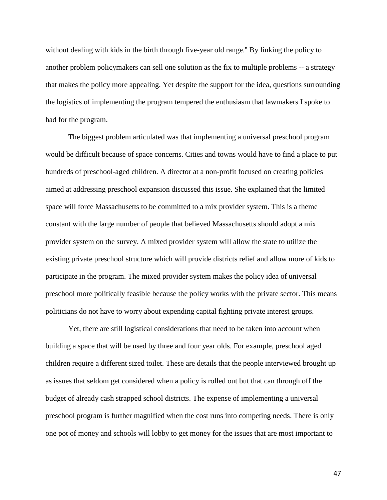without dealing with kids in the birth through five-year old range." By linking the policy to another problem policymakers can sell one solution as the fix to multiple problems -- a strategy that makes the policy more appealing. Yet despite the support for the idea, questions surrounding the logistics of implementing the program tempered the enthusiasm that lawmakers I spoke to had for the program.

The biggest problem articulated was that implementing a universal preschool program would be difficult because of space concerns. Cities and towns would have to find a place to put hundreds of preschool-aged children. A director at a non-profit focused on creating policies aimed at addressing preschool expansion discussed this issue. She explained that the limited space will force Massachusetts to be committed to a mix provider system. This is a theme constant with the large number of people that believed Massachusetts should adopt a mix provider system on the survey. A mixed provider system will allow the state to utilize the existing private preschool structure which will provide districts relief and allow more of kids to participate in the program. The mixed provider system makes the policy idea of universal preschool more politically feasible because the policy works with the private sector. This means politicians do not have to worry about expending capital fighting private interest groups.

Yet, there are still logistical considerations that need to be taken into account when building a space that will be used by three and four year olds. For example, preschool aged children require a different sized toilet. These are details that the people interviewed brought up as issues that seldom get considered when a policy is rolled out but that can through off the budget of already cash strapped school districts. The expense of implementing a universal preschool program is further magnified when the cost runs into competing needs. There is only one pot of money and schools will lobby to get money for the issues that are most important to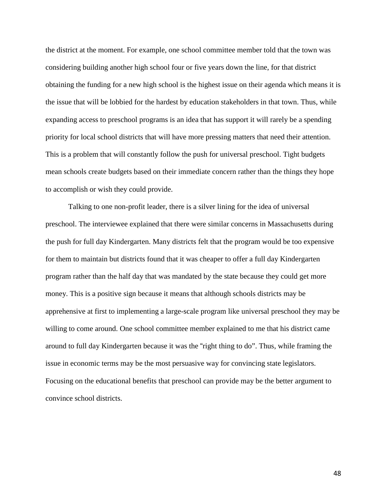the district at the moment. For example, one school committee member told that the town was considering building another high school four or five years down the line, for that district obtaining the funding for a new high school is the highest issue on their agenda which means it is the issue that will be lobbied for the hardest by education stakeholders in that town. Thus, while expanding access to preschool programs is an idea that has support it will rarely be a spending priority for local school districts that will have more pressing matters that need their attention. This is a problem that will constantly follow the push for universal preschool. Tight budgets mean schools create budgets based on their immediate concern rather than the things they hope to accomplish or wish they could provide.

Talking to one non-profit leader, there is a silver lining for the idea of universal preschool. The interviewee explained that there were similar concerns in Massachusetts during the push for full day Kindergarten. Many districts felt that the program would be too expensive for them to maintain but districts found that it was cheaper to offer a full day Kindergarten program rather than the half day that was mandated by the state because they could get more money. This is a positive sign because it means that although schools districts may be apprehensive at first to implementing a large-scale program like universal preschool they may be willing to come around. One school committee member explained to me that his district came around to full day Kindergarten because it was the "right thing to do". Thus, while framing the issue in economic terms may be the most persuasive way for convincing state legislators. Focusing on the educational benefits that preschool can provide may be the better argument to convince school districts.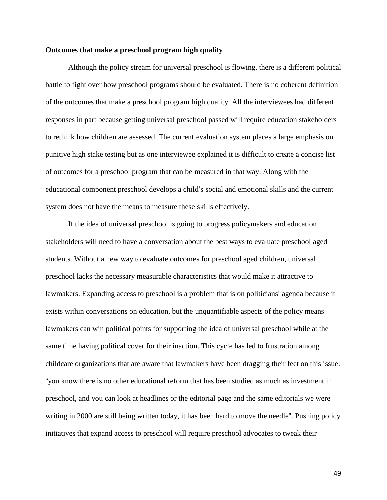#### **Outcomes that make a preschool program high quality**

Although the policy stream for universal preschool is flowing, there is a different political battle to fight over how preschool programs should be evaluated. There is no coherent definition of the outcomes that make a preschool program high quality. All the interviewees had different responses in part because getting universal preschool passed will require education stakeholders to rethink how children are assessed. The current evaluation system places a large emphasis on punitive high stake testing but as one interviewee explained it is difficult to create a concise list of outcomes for a preschool program that can be measured in that way. Along with the educational component preschool develops a child's social and emotional skills and the current system does not have the means to measure these skills effectively.

If the idea of universal preschool is going to progress policymakers and education stakeholders will need to have a conversation about the best ways to evaluate preschool aged students. Without a new way to evaluate outcomes for preschool aged children, universal preschool lacks the necessary measurable characteristics that would make it attractive to lawmakers. Expanding access to preschool is a problem that is on politicians' agenda because it exists within conversations on education, but the unquantifiable aspects of the policy means lawmakers can win political points for supporting the idea of universal preschool while at the same time having political cover for their inaction. This cycle has led to frustration among childcare organizations that are aware that lawmakers have been dragging their feet on this issue: "you know there is no other educational reform that has been studied as much as investment in preschool, and you can look at headlines or the editorial page and the same editorials we were writing in 2000 are still being written today, it has been hard to move the needle". Pushing policy initiatives that expand access to preschool will require preschool advocates to tweak their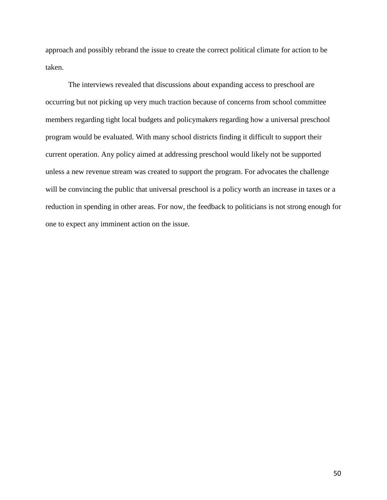approach and possibly rebrand the issue to create the correct political climate for action to be taken.

The interviews revealed that discussions about expanding access to preschool are occurring but not picking up very much traction because of concerns from school committee members regarding tight local budgets and policymakers regarding how a universal preschool program would be evaluated. With many school districts finding it difficult to support their current operation. Any policy aimed at addressing preschool would likely not be supported unless a new revenue stream was created to support the program. For advocates the challenge will be convincing the public that universal preschool is a policy worth an increase in taxes or a reduction in spending in other areas. For now, the feedback to politicians is not strong enough for one to expect any imminent action on the issue.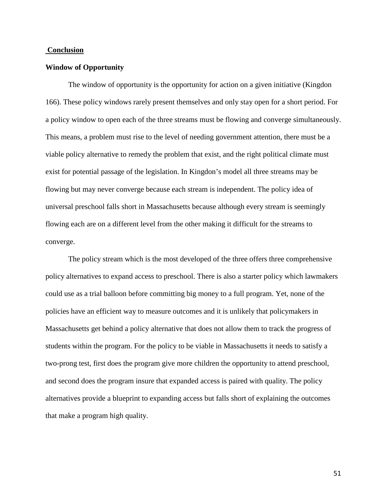#### **Conclusion**

#### **Window of Opportunity**

The window of opportunity is the opportunity for action on a given initiative (Kingdon 166). These policy windows rarely present themselves and only stay open for a short period. For a policy window to open each of the three streams must be flowing and converge simultaneously. This means, a problem must rise to the level of needing government attention, there must be a viable policy alternative to remedy the problem that exist, and the right political climate must exist for potential passage of the legislation. In Kingdon's model all three streams may be flowing but may never converge because each stream is independent. The policy idea of universal preschool falls short in Massachusetts because although every stream is seemingly flowing each are on a different level from the other making it difficult for the streams to converge.

The policy stream which is the most developed of the three offers three comprehensive policy alternatives to expand access to preschool. There is also a starter policy which lawmakers could use as a trial balloon before committing big money to a full program. Yet, none of the policies have an efficient way to measure outcomes and it is unlikely that policymakers in Massachusetts get behind a policy alternative that does not allow them to track the progress of students within the program. For the policy to be viable in Massachusetts it needs to satisfy a two-prong test, first does the program give more children the opportunity to attend preschool, and second does the program insure that expanded access is paired with quality. The policy alternatives provide a blueprint to expanding access but falls short of explaining the outcomes that make a program high quality.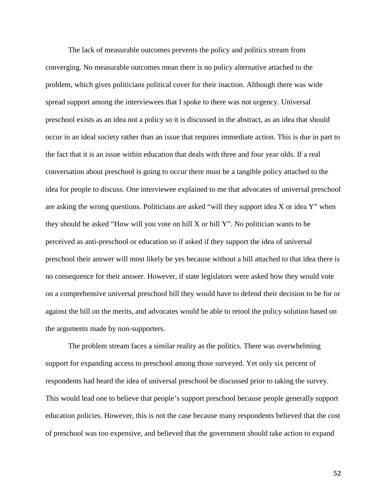The lack of measurable outcomes prevents the policy and politics stream from converging. No measurable outcomes mean there is no policy alternative attached to the problem, which gives politicians political cover for their inaction. Although there was wide spread support among the interviewees that I spoke to there was not urgency. Universal preschool exists as an idea not a policy so it is discussed in the abstract, as an idea that should occur in an ideal society rather than an issue that requires immediate action. This is due in part to the fact that it is an issue within education that deals with three and four year olds. If a real conversation about preschool is going to occur there must be a tangible policy attached to the idea for people to discuss. One interviewee explained to me that advocates of universal preschool are asking the wrong questions. Politicians are asked "will they support idea X or idea Y" when they should be asked "How will you vote on bill X or bill Y". No politician wants to be perceived as anti-preschool or education so if asked if they support the idea of universal preschool their answer will most likely be yes because without a bill attached to that idea there is no consequence for their answer. However, if state legislators were asked how they would vote on a comprehensive universal preschool bill they would have to defend their decision to be for or against the bill on the merits, and advocates would be able to retool the policy solution based on the arguments made by non-supporters.

The problem stream faces a similar reality as the politics. There was overwhelming support for expanding access to preschool among those surveyed. Yet only six percent of respondents had heard the idea of universal preschool be discussed prior to taking the survey. This would lead one to believe that people's support preschool because people generally support education policies. However, this is not the case because many respondents believed that the cost of preschool was too expensive, and believed that the government should take action to expand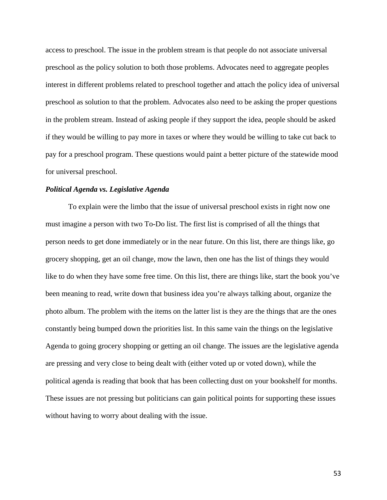access to preschool. The issue in the problem stream is that people do not associate universal preschool as the policy solution to both those problems. Advocates need to aggregate peoples interest in different problems related to preschool together and attach the policy idea of universal preschool as solution to that the problem. Advocates also need to be asking the proper questions in the problem stream. Instead of asking people if they support the idea, people should be asked if they would be willing to pay more in taxes or where they would be willing to take cut back to pay for a preschool program. These questions would paint a better picture of the statewide mood for universal preschool.

#### *Political Agenda vs. Legislative Agenda*

To explain were the limbo that the issue of universal preschool exists in right now one must imagine a person with two To-Do list. The first list is comprised of all the things that person needs to get done immediately or in the near future. On this list, there are things like, go grocery shopping, get an oil change, mow the lawn, then one has the list of things they would like to do when they have some free time. On this list, there are things like, start the book you've been meaning to read, write down that business idea you're always talking about, organize the photo album. The problem with the items on the latter list is they are the things that are the ones constantly being bumped down the priorities list. In this same vain the things on the legislative Agenda to going grocery shopping or getting an oil change. The issues are the legislative agenda are pressing and very close to being dealt with (either voted up or voted down), while the political agenda is reading that book that has been collecting dust on your bookshelf for months. These issues are not pressing but politicians can gain political points for supporting these issues without having to worry about dealing with the issue.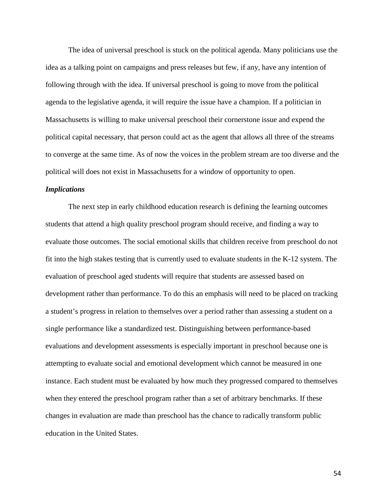The idea of universal preschool is stuck on the political agenda. Many politicians use the idea as a talking point on campaigns and press releases but few, if any, have any intention of following through with the idea. If universal preschool is going to move from the political agenda to the legislative agenda, it will require the issue have a champion. If a politician in Massachusetts is willing to make universal preschool their cornerstone issue and expend the political capital necessary, that person could act as the agent that allows all three of the streams to converge at the same time. As of now the voices in the problem stream are too diverse and the political will does not exist in Massachusetts for a window of opportunity to open.

#### *Implications*

The next step in early childhood education research is defining the learning outcomes students that attend a high quality preschool program should receive, and finding a way to evaluate those outcomes. The social emotional skills that children receive from preschool do not fit into the high stakes testing that is currently used to evaluate students in the K-12 system. The evaluation of preschool aged students will require that students are assessed based on development rather than performance. To do this an emphasis will need to be placed on tracking a student's progress in relation to themselves over a period rather than assessing a student on a single performance like a standardized test. Distinguishing between performance-based evaluations and development assessments is especially important in preschool because one is attempting to evaluate social and emotional development which cannot be measured in one instance. Each student must be evaluated by how much they progressed compared to themselves when they entered the preschool program rather than a set of arbitrary benchmarks. If these changes in evaluation are made than preschool has the chance to radically transform public education in the United States.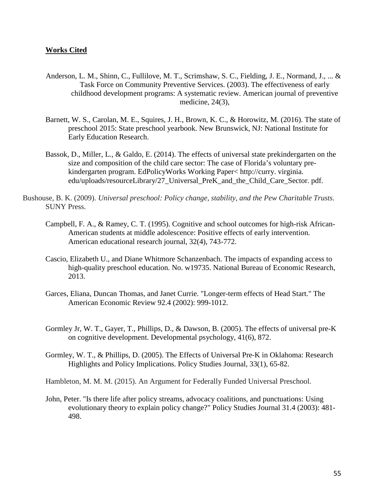## **Works Cited**

- Anderson, L. M., Shinn, C., Fullilove, M. T., Scrimshaw, S. C., Fielding, J. E., Normand, J., ... & Task Force on Community Preventive Services. (2003). The effectiveness of early childhood development programs: A systematic review. American journal of preventive medicine, 24(3),
- Barnett, W. S., Carolan, M. E., Squires, J. H., Brown, K. C., & Horowitz, M. (2016). The state of preschool 2015: State preschool yearbook. New Brunswick, NJ: National Institute for Early Education Research.
- Bassok, D., Miller, L., & Galdo, E. (2014). The effects of universal state prekindergarten on the size and composition of the child care sector: The case of Florida's voluntary prekindergarten program. EdPolicyWorks Working Paper< http://curry. virginia. edu/uploads/resourceLibrary/27\_Universal\_PreK\_and\_the\_Child\_Care\_Sector. pdf.
- Bushouse, B. K. (2009). *Universal preschool: Policy change, stability, and the Pew Charitable Trusts*. SUNY Press.
	- Campbell, F. A., & Ramey, C. T. (1995). Cognitive and school outcomes for high-risk African-American students at middle adolescence: Positive effects of early intervention. American educational research journal, 32(4), 743-772.
	- Cascio, Elizabeth U., and Diane Whitmore Schanzenbach. The impacts of expanding access to high-quality preschool education. No. w19735. National Bureau of Economic Research, 2013.
	- Garces, Eliana, Duncan Thomas, and Janet Currie. "Longer-term effects of Head Start." The American Economic Review 92.4 (2002): 999-1012.
	- Gormley Jr, W. T., Gayer, T., Phillips, D., & Dawson, B. (2005). The effects of universal pre-K on cognitive development. Developmental psychology, 41(6), 872.
	- Gormley, W. T., & Phillips, D. (2005). The Effects of Universal Pre-K in Oklahoma: Research Highlights and Policy Implications. Policy Studies Journal, 33(1), 65-82.

Hambleton, M. M. M. (2015). An Argument for Federally Funded Universal Preschool.

John, Peter. "Is there life after policy streams, advocacy coalitions, and punctuations: Using evolutionary theory to explain policy change?" Policy Studies Journal 31.4 (2003): 481- 498.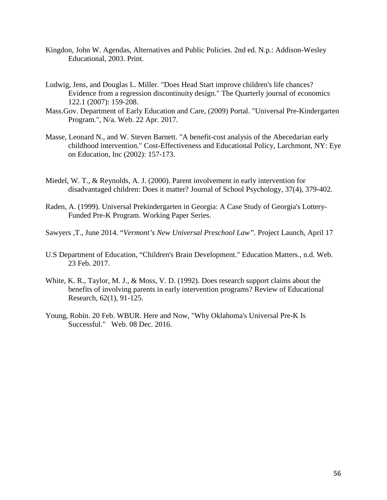- Kingdon, John W. Agendas, Alternatives and Public Policies. 2nd ed. N.p.: Addison-Wesley Educational, 2003. Print.
- Ludwig, Jens, and Douglas L. Miller. "Does Head Start improve children's life chances? Evidence from a regression discontinuity design." The Quarterly journal of economics 122.1 (2007): 159-208.
- Mass.Gov. Department of Early Education and Care, (2009) Portal. "Universal Pre-Kindergarten Program.", N/a. Web. 22 Apr. 2017.
- Masse, Leonard N., and W. Steven Barnett. "A benefit-cost analysis of the Abecedarian early childhood intervention." Cost-Effectiveness and Educational Policy, Larchmont, NY: Eye on Education, Inc (2002): 157-173.
- Miedel, W. T., & Reynolds, A. J. (2000). Parent involvement in early intervention for disadvantaged children: Does it matter? Journal of School Psychology, 37(4), 379-402.
- Raden, A. (1999). Universal Prekindergarten in Georgia: A Case Study of Georgia's Lottery-Funded Pre-K Program. Working Paper Series.
- Sawyers ,T., June 2014. "*Vermont's New Universal Preschool Law".* Project Launch, April 17
- U.S Department of Education, "Children's Brain Development." Education Matters., n.d. Web. 23 Feb. 2017.
- White, K. R., Taylor, M. J., & Moss, V. D. (1992). Does research support claims about the benefits of involving parents in early intervention programs? Review of Educational Research, 62(1), 91-125.
- Young, Robin. 20 Feb. WBUR. Here and Now, "Why Oklahoma's Universal Pre-K Is Successful." Web. 08 Dec. 2016.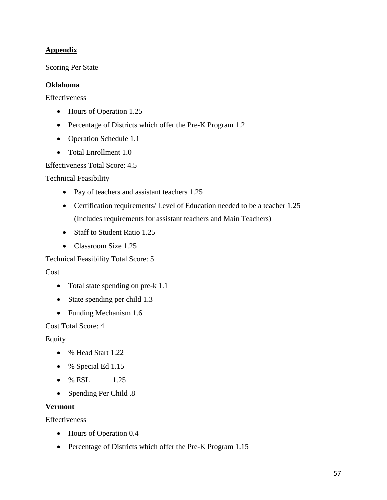# **Appendix**

## Scoring Per State

## **Oklahoma**

Effectiveness

- Hours of Operation 1.25
- Percentage of Districts which offer the Pre-K Program 1.2
- Operation Schedule 1.1
- Total Enrollment 1.0

Effectiveness Total Score: 4.5

Technical Feasibility

- Pay of teachers and assistant teachers 1.25
- Certification requirements/ Level of Education needed to be a teacher 1.25 (Includes requirements for assistant teachers and Main Teachers)
- Staff to Student Ratio 1.25
- Classroom Size 1.25

Technical Feasibility Total Score: 5

Cost

- Total state spending on pre-k 1.1
- State spending per child 1.3
- Funding Mechanism 1.6

Cost Total Score: 4

Equity

- % Head Start 1.22
- % Special Ed 1.15
- $% ESL 1.25$
- Spending Per Child .8

## **Vermont**

**Effectiveness** 

- Hours of Operation 0.4
- Percentage of Districts which offer the Pre-K Program 1.15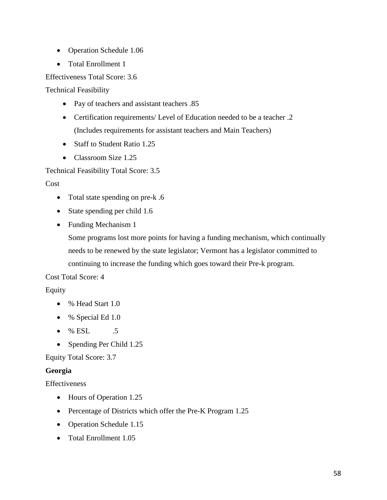- Operation Schedule 1.06
- Total Enrollment 1

Effectiveness Total Score: 3.6

Technical Feasibility

- Pay of teachers and assistant teachers .85
- Certification requirements/ Level of Education needed to be a teacher .2 (Includes requirements for assistant teachers and Main Teachers)
- Staff to Student Ratio 1.25
- Classroom Size 1.25

Technical Feasibility Total Score: 3.5

Cost

- Total state spending on pre-k .6
- State spending per child 1.6
- Funding Mechanism 1

Some programs lost more points for having a funding mechanism, which continually needs to be renewed by the state legislator; Vermont has a legislator committed to continuing to increase the funding which goes toward their Pre-k program.

## Cost Total Score: 4

## Equity

- % Head Start 1.0
- % Special Ed 1.0
- % ESL .5
- Spending Per Child 1.25

Equity Total Score: 3.7

## **Georgia**

Effectiveness

- Hours of Operation 1.25
- Percentage of Districts which offer the Pre-K Program 1.25
- Operation Schedule 1.15
- Total Enrollment 1.05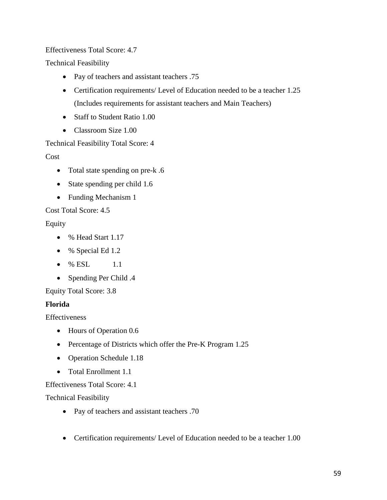# Effectiveness Total Score: 4.7

Technical Feasibility

- Pay of teachers and assistant teachers .75
- Certification requirements/ Level of Education needed to be a teacher 1.25 (Includes requirements for assistant teachers and Main Teachers)
- Staff to Student Ratio 1.00
- Classroom Size 1.00

# Technical Feasibility Total Score: 4

Cost

- Total state spending on pre-k .6
- State spending per child 1.6
- Funding Mechanism 1

Cost Total Score: 4.5

# Equity

- % Head Start 1.17
- % Special Ed 1.2
- $% ESL = 1.1$
- Spending Per Child .4

## Equity Total Score: 3.8

## **Florida**

**Effectiveness** 

- Hours of Operation 0.6
- Percentage of Districts which offer the Pre-K Program 1.25
- Operation Schedule 1.18
- Total Enrollment 1.1

## Effectiveness Total Score: 4.1

Technical Feasibility

- Pay of teachers and assistant teachers .70
- Certification requirements/ Level of Education needed to be a teacher 1.00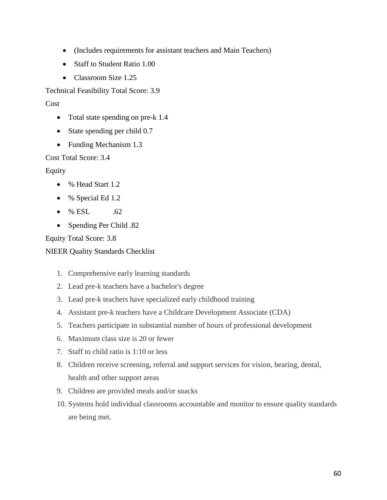- (Includes requirements for assistant teachers and Main Teachers)
- Staff to Student Ratio 1.00
- Classroom Size 1.25

Technical Feasibility Total Score: 3.9

Cost

- Total state spending on pre-k 1.4
- State spending per child 0.7
- Funding Mechanism 1.3

Cost Total Score: 3.4

Equity

- % Head Start 1.2
- % Special Ed 1.2
- $% ESL$  .62
- Spending Per Child .82

Equity Total Score: 3.8

NIEER Quality Standards Checklist

- 1. Comprehensive early learning standards
- 2. Lead pre-k teachers have a bachelor's degree
- 3. Lead pre-k teachers have specialized early childhood training
- 4. Assistant pre-k teachers have a Childcare Development Associate (CDA)
- 5. Teachers participate in substantial number of hours of professional development
- 6. Maximum class size is 20 or fewer
- 7. Staff to child ratio is 1:10 or less
- 8. Children receive screening, referral and support services for vision, hearing, dental, health and other support areas
- 9. Children are provided meals and/or snacks
- 10. Systems hold individual classrooms accountable and monitor to ensure quality standards are being met.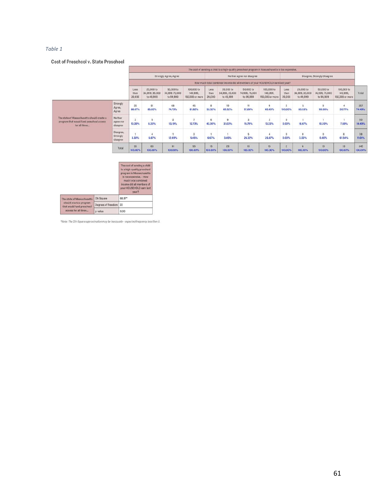#### *Table 1*

#### Cost of Preschool v. State Preschool

|                                                                                                         |                                   |                            |                                          |                                         |                                           |                            |                                          |                                         | The cost of sending a child to a high-quality preschool program in Massachusetts is too expensive. |                           |                                          |                                         |                                           |                |
|---------------------------------------------------------------------------------------------------------|-----------------------------------|----------------------------|------------------------------------------|-----------------------------------------|-------------------------------------------|----------------------------|------------------------------------------|-----------------------------------------|----------------------------------------------------------------------------------------------------|---------------------------|------------------------------------------|-----------------------------------------|-------------------------------------------|----------------|
|                                                                                                         |                                   | Strongly Agree, Agree      |                                          |                                         |                                           | Neither agree nor disagree |                                          |                                         | Disagree, Strongly Disagree                                                                        |                           |                                          |                                         |                                           |                |
|                                                                                                         |                                   |                            |                                          |                                         |                                           |                            |                                          |                                         | How much total combined income did all members of your HOUSEHOLD earn last year?                   |                           |                                          |                                         |                                           |                |
|                                                                                                         |                                   | Less<br>than<br>20,000     | 20,000 to<br>34,999, 35,000<br>to 49,999 | 50,000 to<br>74,999,75,000<br>to 99,999 | 100,000 to<br>149,999,<br>150,000 or more | Less<br>than<br>20,000     | 20,000 to<br>34,999, 35,000<br>to 49,999 | 50,000 to<br>74,999,75,000<br>to 99,999 | 100,000 to<br>149,999.<br>150,000 or more                                                          | Less<br>than<br>20,000    | 20,000 to<br>34,999, 35,000<br>to 49,999 | 50,000 to<br>74,999,75,000<br>to 99,999 | 100,000 to<br>149,999,<br>150,000 or more | Total          |
|                                                                                                         | Strongly<br>Agree,<br>Agree       | 26<br>86.67%               | 51<br>85.00%                             | 68<br>74.73%                            | 45<br>81.82%                              | 8<br>53.33%                | 19<br>65.52%                             | 11<br>57.89%                            | 9<br>60.00%                                                                                        | $\overline{c}$<br>100.00% | 5<br>83.33%                              | 9<br>90.00%                             | 30.77%                                    | 257<br>74.49%  |
| The state of Massachusetts should create a<br>program that would fund preschool access<br>for all three | Neither<br>agree nor<br>disagree  | $\overline{3}$<br>10.00%   | 5<br>8,33%                               | 12<br>13.19%                            | 12,73%                                    | 6<br>40.00%                | $\mathbf{9}$<br>31.03%                   | 3<br>15.79%                             | $\overline{2}$<br>13.33%                                                                           | $\circ$<br>0.00%          | 16.67%                                   | 10.00%                                  | 15.67<br>7.69%                            | 50<br>14.49%   |
|                                                                                                         | Disagree,<br>Strongly<br>disagree | 3.33%                      | 6.67%                                    | 11<br>12.09%                            | $\overline{3}$<br>5.45%                   | 6.67%                      | 3.45%                                    | 5<br>26.32%                             | 4<br>26.67%                                                                                        | $\mathbf{0}$<br>0.00%     | $\circ$<br>0.00%                         | $\mathbf{0}$<br>0.00%                   | $\overline{8}$<br>61,54%                  | 38<br>11.01%   |
|                                                                                                         | Total                             | 30 <sup>°</sup><br>100.00% | 60<br>100.00%                            | 91<br>100.00%                           | 55<br>100.00%                             | 15<br>100.00%              | 29<br>100.00%                            | 19<br>100.00%                           | 15<br>100.00%                                                                                      | 100.00%                   | 100.00%                                  | 10<br>100.00%                           | 13<br>100.00%                             | 345<br>100.00% |

|                                                                              |                    | The cost of sending a child<br>to a high-quality preschool<br>program in Massachusetts<br>is too expensive. - How<br>much total combined<br>income did all members of<br>your HOUSEHOLD earn last<br>year? |  |  |  |  |
|------------------------------------------------------------------------------|--------------------|------------------------------------------------------------------------------------------------------------------------------------------------------------------------------------------------------------|--|--|--|--|
| The state of Massachusetts                                                   | Chi Souare         | 68.97*                                                                                                                                                                                                     |  |  |  |  |
| should create a program<br>that would fund preschool<br>access for all three | Degrees of Freedom | 22                                                                                                                                                                                                         |  |  |  |  |
|                                                                              | p-value            | 0.00                                                                                                                                                                                                       |  |  |  |  |

\*Note: The Chi-Square approximation may be inaccurate - expected frequency less than 5.